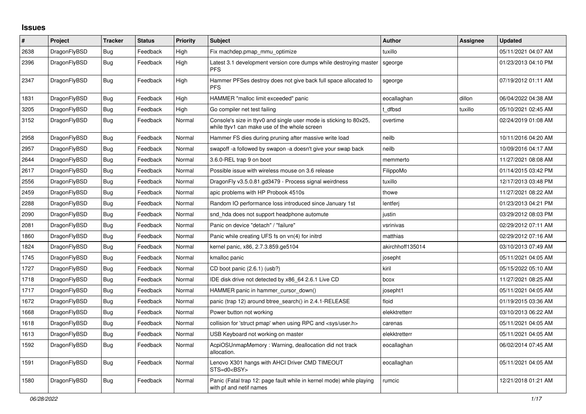## **Issues**

| #    | Project      | <b>Tracker</b> | <b>Status</b> | <b>Priority</b> | <b>Subject</b>                                                                                                     | <b>Author</b>    | Assignee | <b>Updated</b>      |
|------|--------------|----------------|---------------|-----------------|--------------------------------------------------------------------------------------------------------------------|------------------|----------|---------------------|
| 2638 | DragonFlyBSD | <b>Bug</b>     | Feedback      | High            | Fix machdep.pmap_mmu_optimize                                                                                      | tuxillo          |          | 05/11/2021 04:07 AM |
| 2396 | DragonFlyBSD | <b>Bug</b>     | Feedback      | High            | Latest 3.1 development version core dumps while destroying master<br><b>PFS</b>                                    | sgeorge          |          | 01/23/2013 04:10 PM |
| 2347 | DragonFlyBSD | Bug            | Feedback      | High            | Hammer PFSes destroy does not give back full space allocated to<br><b>PFS</b>                                      | sgeorge          |          | 07/19/2012 01:11 AM |
| 1831 | DragonFlyBSD | <b>Bug</b>     | Feedback      | High            | HAMMER "malloc limit exceeded" panic                                                                               | eocallaghan      | dillon   | 06/04/2022 04:38 AM |
| 3205 | DragonFlyBSD | <b>Bug</b>     | Feedback      | High            | Go compiler net test failing                                                                                       | t dfbsd          | tuxillo  | 05/10/2021 02:45 AM |
| 3152 | DragonFlyBSD | Bug            | Feedback      | Normal          | Console's size in ttyv0 and single user mode is sticking to 80x25,<br>while ttyv1 can make use of the whole screen | overtime         |          | 02/24/2019 01:08 AM |
| 2958 | DragonFlyBSD | <b>Bug</b>     | Feedback      | Normal          | Hammer FS dies during pruning after massive write load                                                             | neilb            |          | 10/11/2016 04:20 AM |
| 2957 | DragonFlyBSD | Bug            | Feedback      | Normal          | swapoff -a followed by swapon -a doesn't give your swap back                                                       | neilb            |          | 10/09/2016 04:17 AM |
| 2644 | DragonFlyBSD | Bug            | Feedback      | Normal          | 3.6.0-REL trap 9 on boot                                                                                           | memmerto         |          | 11/27/2021 08:08 AM |
| 2617 | DragonFlyBSD | Bug            | Feedback      | Normal          | Possible issue with wireless mouse on 3.6 release                                                                  | FilippoMo        |          | 01/14/2015 03:42 PM |
| 2556 | DragonFlyBSD | <b>Bug</b>     | Feedback      | Normal          | DragonFly v3.5.0.81.gd3479 - Process signal weirdness                                                              | tuxillo          |          | 12/17/2013 03:48 PM |
| 2459 | DragonFlyBSD | <b>Bug</b>     | Feedback      | Normal          | apic problems with HP Probook 4510s                                                                                | thowe            |          | 11/27/2021 08:22 AM |
| 2288 | DragonFlyBSD | Bug            | Feedback      | Normal          | Random IO performance loss introduced since January 1st                                                            | lentferj         |          | 01/23/2013 04:21 PM |
| 2090 | DragonFlyBSD | Bug            | Feedback      | Normal          | snd hda does not support headphone automute                                                                        | justin           |          | 03/29/2012 08:03 PM |
| 2081 | DragonFlyBSD | <b>Bug</b>     | Feedback      | Normal          | Panic on device "detach" / "failure"                                                                               | vsrinivas        |          | 02/29/2012 07:11 AM |
| 1860 | DragonFlyBSD | <b>Bug</b>     | Feedback      | Normal          | Panic while creating UFS fs on vn(4) for initrd                                                                    | matthias         |          | 02/29/2012 07:16 AM |
| 1824 | DragonFlyBSD | Bug            | Feedback      | Normal          | kernel panic, x86, 2.7.3.859.ge5104                                                                                | akirchhoff135014 |          | 03/10/2013 07:49 AM |
| 1745 | DragonFlyBSD | <b>Bug</b>     | Feedback      | Normal          | kmalloc panic                                                                                                      | josepht          |          | 05/11/2021 04:05 AM |
| 1727 | DragonFlyBSD | <b>Bug</b>     | Feedback      | Normal          | CD boot panic (2.6.1) (usb?)                                                                                       | kiril            |          | 05/15/2022 05:10 AM |
| 1718 | DragonFlyBSD | <b>Bug</b>     | Feedback      | Normal          | IDE disk drive not detected by x86 64 2.6.1 Live CD                                                                | bcox             |          | 11/27/2021 08:25 AM |
| 1717 | DragonFlyBSD | <b>Bug</b>     | Feedback      | Normal          | HAMMER panic in hammer cursor down()                                                                               | josepht1         |          | 05/11/2021 04:05 AM |
| 1672 | DragonFlyBSD | Bug            | Feedback      | Normal          | panic (trap 12) around btree search() in 2.4.1-RELEASE                                                             | floid            |          | 01/19/2015 03:36 AM |
| 1668 | DragonFlyBSD | <b>Bug</b>     | Feedback      | Normal          | Power button not working                                                                                           | elekktretterr    |          | 03/10/2013 06:22 AM |
| 1618 | DragonFlyBSD | Bug            | Feedback      | Normal          | collision for 'struct pmap' when using RPC and <sys user.h=""></sys>                                               | carenas          |          | 05/11/2021 04:05 AM |
| 1613 | DragonFlyBSD | <b>Bug</b>     | Feedback      | Normal          | USB Keyboard not working on master                                                                                 | elekktretterr    |          | 05/11/2021 04:05 AM |
| 1592 | DragonFlyBSD | Bug            | Feedback      | Normal          | AcpiOSUnmapMemory: Warning, deallocation did not track<br>allocation.                                              | eocallaghan      |          | 06/02/2014 07:45 AM |
| 1591 | DragonFlyBSD | <b>Bug</b>     | Feedback      | Normal          | Lenovo X301 hangs with AHCI Driver CMD TIMEOUT<br>STS=d0 <bsy></bsy>                                               | eocallaghan      |          | 05/11/2021 04:05 AM |
| 1580 | DragonFlyBSD | <b>Bug</b>     | Feedback      | Normal          | Panic (Fatal trap 12: page fault while in kernel mode) while playing<br>with pf and netif names                    | rumcic           |          | 12/21/2018 01:21 AM |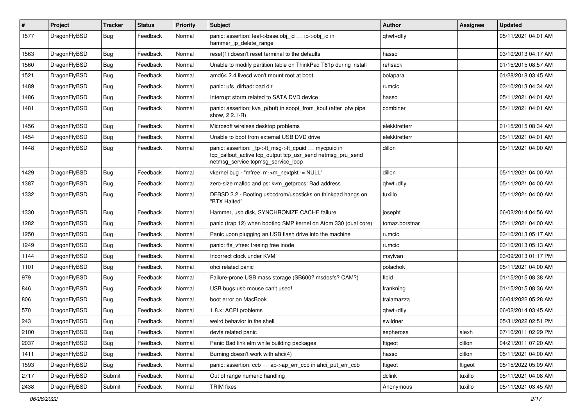| $\vert$ # | Project      | <b>Tracker</b> | <b>Status</b> | <b>Priority</b> | Subject                                                                                                                                                   | <b>Author</b>  | <b>Assignee</b> | <b>Updated</b>      |
|-----------|--------------|----------------|---------------|-----------------|-----------------------------------------------------------------------------------------------------------------------------------------------------------|----------------|-----------------|---------------------|
| 1577      | DragonFlyBSD | Bug            | Feedback      | Normal          | panic: assertion: leaf->base.obj_id == ip->obj_id in<br>hammer_ip_delete_range                                                                            | qhwt+dfly      |                 | 05/11/2021 04:01 AM |
| 1563      | DragonFlyBSD | <b>Bug</b>     | Feedback      | Normal          | reset(1) doesn't reset terminal to the defaults                                                                                                           | hasso          |                 | 03/10/2013 04:17 AM |
| 1560      | DragonFlyBSD | Bug            | Feedback      | Normal          | Unable to modify partition table on ThinkPad T61p during install                                                                                          | rehsack        |                 | 01/15/2015 08:57 AM |
| 1521      | DragonFlyBSD | <b>Bug</b>     | Feedback      | Normal          | amd64 2.4 livecd won't mount root at boot                                                                                                                 | bolapara       |                 | 01/28/2018 03:45 AM |
| 1489      | DragonFlyBSD | <b>Bug</b>     | Feedback      | Normal          | panic: ufs dirbad: bad dir                                                                                                                                | rumcic         |                 | 03/10/2013 04:34 AM |
| 1486      | DragonFlyBSD | Bug            | Feedback      | Normal          | Interrupt storm related to SATA DVD device                                                                                                                | hasso          |                 | 05/11/2021 04:01 AM |
| 1481      | DragonFlyBSD | Bug            | Feedback      | Normal          | panic: assertion: kva_p(buf) in soopt_from_kbuf (after ipfw pipe<br>show, 2.2.1-R)                                                                        | combiner       |                 | 05/11/2021 04:01 AM |
| 1456      | DragonFlyBSD | Bug            | Feedback      | Normal          | Microsoft wireless desktop problems                                                                                                                       | elekktretterr  |                 | 01/15/2015 08:34 AM |
| 1454      | DragonFlyBSD | <b>Bug</b>     | Feedback      | Normal          | Unable to boot from external USB DVD drive                                                                                                                | elekktretterr  |                 | 05/11/2021 04:01 AM |
| 1448      | DragonFlyBSD | Bug            | Feedback      | Normal          | panic: assertion: _tp->tt_msg->tt_cpuid == mycpuid in<br>tcp_callout_active tcp_output tcp_usr_send netmsg_pru_send<br>netmsg_service tcpmsg_service_loop | dillon         |                 | 05/11/2021 04:00 AM |
| 1429      | DragonFlyBSD | Bug            | Feedback      | Normal          | vkernel bug - "mfree: m->m_nextpkt != NULL"                                                                                                               | dillon         |                 | 05/11/2021 04:00 AM |
| 1387      | DragonFlyBSD | <b>Bug</b>     | Feedback      | Normal          | zero-size malloc and ps: kvm getprocs: Bad address                                                                                                        | qhwt+dfly      |                 | 05/11/2021 04:00 AM |
| 1332      | DragonFlyBSD | Bug            | Feedback      | Normal          | DFBSD 2.2 - Booting usbcdrom/usbsticks on thinkpad hangs on<br>"BTX Halted"                                                                               | tuxillo        |                 | 05/11/2021 04:00 AM |
| 1330      | DragonFlyBSD | Bug            | Feedback      | Normal          | Hammer, usb disk, SYNCHRONIZE CACHE failure                                                                                                               | josepht        |                 | 06/02/2014 04:56 AM |
| 1282      | DragonFlyBSD | Bug            | Feedback      | Normal          | panic (trap 12) when booting SMP kernel on Atom 330 (dual core)                                                                                           | tomaz.borstnar |                 | 05/11/2021 04:00 AM |
| 1250      | DragonFlyBSD | <b>Bug</b>     | Feedback      | Normal          | Panic upon plugging an USB flash drive into the machine                                                                                                   | rumcic         |                 | 03/10/2013 05:17 AM |
| 1249      | DragonFlyBSD | <b>Bug</b>     | Feedback      | Normal          | panic: ffs vfree: freeing free inode                                                                                                                      | rumcic         |                 | 03/10/2013 05:13 AM |
| 1144      | DragonFlyBSD | Bug            | Feedback      | Normal          | Incorrect clock under KVM                                                                                                                                 | msylvan        |                 | 03/09/2013 01:17 PM |
| 1101      | DragonFlyBSD | Bug            | Feedback      | Normal          | ohci related panic                                                                                                                                        | polachok       |                 | 05/11/2021 04:00 AM |
| 979       | DragonFlyBSD | Bug            | Feedback      | Normal          | Failure-prone USB mass storage (SB600? msdosfs? CAM?)                                                                                                     | floid          |                 | 01/15/2015 08:38 AM |
| 846       | DragonFlyBSD | Bug            | Feedback      | Normal          | USB bugs:usb mouse can't used!                                                                                                                            | frankning      |                 | 01/15/2015 08:36 AM |
| 806       | DragonFlyBSD | <b>Bug</b>     | Feedback      | Normal          | boot error on MacBook                                                                                                                                     | tralamazza     |                 | 06/04/2022 05:28 AM |
| 570       | DragonFlyBSD | Bug            | Feedback      | Normal          | 1.8.x: ACPI problems                                                                                                                                      | qhwt+dfly      |                 | 06/02/2014 03:45 AM |
| 243       | DragonFlyBSD | Bug            | Feedback      | Normal          | weird behavior in the shell                                                                                                                               | swildner       |                 | 05/31/2022 02:51 PM |
| 2100      | DragonFlyBSD | <b>Bug</b>     | Feedback      | Normal          | devfs related panic                                                                                                                                       | sepherosa      | alexh           | 07/10/2011 02:29 PM |
| 2037      | DragonFlyBSD | Bug            | Feedback      | Normal          | Panic Bad link elm while building packages                                                                                                                | ftigeot        | dillon          | 04/21/2011 07:20 AM |
| 1411      | DragonFlyBSD | <b>Bug</b>     | Feedback      | Normal          | Burning doesn't work with ahci(4)                                                                                                                         | hasso          | dillon          | 05/11/2021 04:00 AM |
| 1593      | DragonFlyBSD | <b>Bug</b>     | Feedback      | Normal          | panic: assertion: $ccb == ap > ap$ err $ccb$ in ahci put err $ccb$                                                                                        | ftigeot        | ftigeot         | 05/15/2022 05:09 AM |
| 2717      | DragonFlyBSD | Submit         | Feedback      | Normal          | Out of range numeric handling                                                                                                                             | dclink         | tuxillo         | 05/11/2021 04:08 AM |
| 2438      | DragonFlyBSD | Submit         | Feedback      | Normal          | <b>TRIM</b> fixes                                                                                                                                         | Anonymous      | tuxillo         | 05/11/2021 03:45 AM |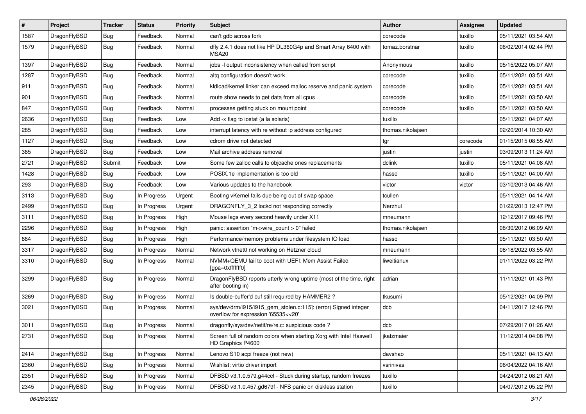| #    | Project      | <b>Tracker</b> | <b>Status</b> | <b>Priority</b> | Subject                                                                                                | Author            | <b>Assignee</b> | <b>Updated</b>      |
|------|--------------|----------------|---------------|-----------------|--------------------------------------------------------------------------------------------------------|-------------------|-----------------|---------------------|
| 1587 | DragonFlyBSD | Bug            | Feedback      | Normal          | can't gdb across fork                                                                                  | corecode          | tuxillo         | 05/11/2021 03:54 AM |
| 1579 | DragonFlyBSD | Bug            | Feedback      | Normal          | dfly 2.4.1 does not like HP DL360G4p and Smart Array 6400 with<br>MSA20                                | tomaz.borstnar    | tuxillo         | 06/02/2014 02:44 PM |
| 1397 | DragonFlyBSD | <b>Bug</b>     | Feedback      | Normal          | jobs -I output inconsistency when called from script                                                   | Anonymous         | tuxillo         | 05/15/2022 05:07 AM |
| 1287 | DragonFlyBSD | Bug            | Feedback      | Normal          | altg configuration doesn't work                                                                        | corecode          | tuxillo         | 05/11/2021 03:51 AM |
| 911  | DragonFlyBSD | <b>Bug</b>     | Feedback      | Normal          | kldload/kernel linker can exceed malloc reserve and panic system                                       | corecode          | tuxillo         | 05/11/2021 03:51 AM |
| 901  | DragonFlyBSD | <b>Bug</b>     | Feedback      | Normal          | route show needs to get data from all cpus                                                             | corecode          | tuxillo         | 05/11/2021 03:50 AM |
| 847  | DragonFlyBSD | <b>Bug</b>     | Feedback      | Normal          | processes getting stuck on mount point                                                                 | corecode          | tuxillo         | 05/11/2021 03:50 AM |
| 2636 | DragonFlyBSD | <b>Bug</b>     | Feedback      | Low             | Add -x flag to iostat (a la solaris)                                                                   | tuxillo           |                 | 05/11/2021 04:07 AM |
| 285  | DragonFlyBSD | Bug            | Feedback      | Low             | interrupt latency with re without ip address configured                                                | thomas.nikolajsen |                 | 02/20/2014 10:30 AM |
| 1127 | DragonFlyBSD | <b>Bug</b>     | Feedback      | Low             | cdrom drive not detected                                                                               | tgr               | corecode        | 01/15/2015 08:55 AM |
| 385  | DragonFlyBSD | <b>Bug</b>     | Feedback      | Low             | Mail archive address removal                                                                           | justin            | justin          | 03/09/2013 11:24 AM |
| 2721 | DragonFlyBSD | Submit         | Feedback      | Low             | Some few zalloc calls to objcache ones replacements                                                    | dclink            | tuxillo         | 05/11/2021 04:08 AM |
| 1428 | DragonFlyBSD | <b>Bug</b>     | Feedback      | Low             | POSIX.1e implementation is too old                                                                     | hasso             | tuxillo         | 05/11/2021 04:00 AM |
| 293  | DragonFlyBSD | <b>Bug</b>     | Feedback      | Low             | Various updates to the handbook                                                                        | victor            | victor          | 03/10/2013 04:46 AM |
| 3113 | DragonFlyBSD | <b>Bug</b>     | In Progress   | Urgent          | Booting vKernel fails due being out of swap space                                                      | tcullen           |                 | 05/11/2021 04:14 AM |
| 2499 | DragonFlyBSD | <b>Bug</b>     | In Progress   | Urgent          | DRAGONFLY_3_2 lockd not responding correctly                                                           | Nerzhul           |                 | 01/22/2013 12:47 PM |
| 3111 | DragonFlyBSD | Bug            | In Progress   | High            | Mouse lags every second heavily under X11                                                              | mneumann          |                 | 12/12/2017 09:46 PM |
| 2296 | DragonFlyBSD | <b>Bug</b>     | In Progress   | High            | panic: assertion "m->wire count > 0" failed                                                            | thomas.nikolajsen |                 | 08/30/2012 06:09 AM |
| 884  | DragonFlyBSD | <b>Bug</b>     | In Progress   | High            | Performance/memory problems under filesystem IO load                                                   | hasso             |                 | 05/11/2021 03:50 AM |
| 3317 | DragonFlyBSD | <b>Bug</b>     | In Progress   | Normal          | Network vtnet0 not working on Hetzner cloud                                                            | mneumann          |                 | 06/18/2022 03:55 AM |
| 3310 | DragonFlyBSD | <b>Bug</b>     | In Progress   | Normal          | NVMM+QEMU fail to boot with UEFI: Mem Assist Failed<br>[gpa=0xfffffff0]                                | liweitianux       |                 | 01/11/2022 03:22 PM |
| 3299 | DragonFlyBSD | Bug            | In Progress   | Normal          | DragonFlyBSD reports utterly wrong uptime (most of the time, right<br>after booting in)                | adrian            |                 | 11/11/2021 01:43 PM |
| 3269 | DragonFlyBSD | Bug            | In Progress   | Normal          | Is double-buffer'd buf still required by HAMMER2?                                                      | tkusumi           |                 | 05/12/2021 04:09 PM |
| 3021 | DragonFlyBSD | <b>Bug</b>     | In Progress   | Normal          | sys/dev/drm/i915/i915_gem_stolen.c:115]: (error) Signed integer<br>overflow for expression '65535<<20' | dcb               |                 | 04/11/2017 12:46 PM |
| 3011 | DragonFlyBSD | Bug            | In Progress   | Normal          | dragonfly/sys/dev/netif/re/re.c: suspicious code?                                                      | dcb               |                 | 07/29/2017 01:26 AM |
| 2731 | DragonFlyBSD | <b>Bug</b>     | In Progress   | Normal          | Screen full of random colors when starting Xorg with Intel Haswell<br>HD Graphics P4600                | jkatzmaier        |                 | 11/12/2014 04:08 PM |
| 2414 | DragonFlyBSD | <b>Bug</b>     | In Progress   | Normal          | Lenovo S10 acpi freeze (not new)                                                                       | davshao           |                 | 05/11/2021 04:13 AM |
| 2360 | DragonFlyBSD | <b>Bug</b>     | In Progress   | Normal          | Wishlist: virtio driver import                                                                         | vsrinivas         |                 | 06/04/2022 04:16 AM |
| 2351 | DragonFlyBSD | <b>Bug</b>     | In Progress   | Normal          | DFBSD v3.1.0.579.g44ccf - Stuck during startup, random freezes                                         | tuxillo           |                 | 04/24/2012 08:21 AM |
| 2345 | DragonFlyBSD | <b>Bug</b>     | In Progress   | Normal          | DFBSD v3.1.0.457.gd679f - NFS panic on diskless station                                                | tuxillo           |                 | 04/07/2012 05:22 PM |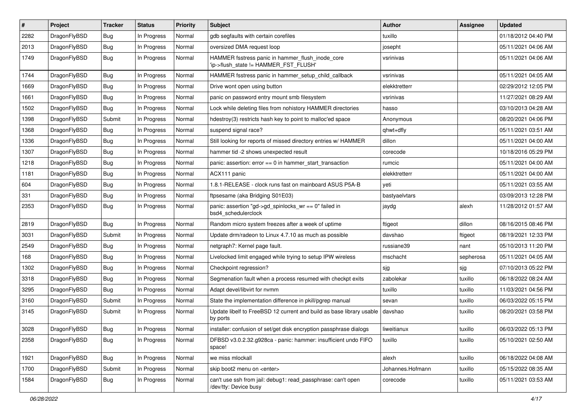| #    | Project      | <b>Tracker</b> | <b>Status</b> | <b>Priority</b> | Subject                                                                                   | <b>Author</b>    | Assignee  | <b>Updated</b>      |
|------|--------------|----------------|---------------|-----------------|-------------------------------------------------------------------------------------------|------------------|-----------|---------------------|
| 2282 | DragonFlyBSD | Bug            | In Progress   | Normal          | gdb segfaults with certain corefiles                                                      | tuxillo          |           | 01/18/2012 04:40 PM |
| 2013 | DragonFlyBSD | Bug            | In Progress   | Normal          | oversized DMA request loop                                                                | josepht          |           | 05/11/2021 04:06 AM |
| 1749 | DragonFlyBSD | Bug            | In Progress   | Normal          | HAMMER fsstress panic in hammer_flush_inode_core<br>'ip->flush_state != HAMMER_FST_FLUSH' | vsrinivas        |           | 05/11/2021 04:06 AM |
| 1744 | DragonFlyBSD | Bug            | In Progress   | Normal          | HAMMER fsstress panic in hammer_setup_child_callback                                      | vsrinivas        |           | 05/11/2021 04:05 AM |
| 1669 | DragonFlyBSD | Bug            | In Progress   | Normal          | Drive wont open using button                                                              | elekktretterr    |           | 02/29/2012 12:05 PM |
| 1661 | DragonFlyBSD | Bug            | In Progress   | Normal          | panic on password entry mount smb filesystem                                              | vsrinivas        |           | 11/27/2021 08:29 AM |
| 1502 | DragonFlyBSD | Bug            | In Progress   | Normal          | Lock while deleting files from nohistory HAMMER directories                               | hasso            |           | 03/10/2013 04:28 AM |
| 1398 | DragonFlyBSD | Submit         | In Progress   | Normal          | hdestroy(3) restricts hash key to point to malloc'ed space                                | Anonymous        |           | 08/20/2021 04:06 PM |
| 1368 | DragonFlyBSD | Bug            | In Progress   | Normal          | suspend signal race?                                                                      | qhwt+dfly        |           | 05/11/2021 03:51 AM |
| 1336 | DragonFlyBSD | Bug            | In Progress   | Normal          | Still looking for reports of missed directory entries w/ HAMMER                           | dillon           |           | 05/11/2021 04:00 AM |
| 1307 | DragonFlyBSD | Bug            | In Progress   | Normal          | hammer tid -2 shows unexpected result                                                     | corecode         |           | 10/18/2016 05:29 PM |
| 1218 | DragonFlyBSD | Bug            | In Progress   | Normal          | panic: assertion: $error == 0$ in hammer start transaction                                | rumcic           |           | 05/11/2021 04:00 AM |
| 1181 | DragonFlyBSD | Bug            | In Progress   | Normal          | ACX111 panic                                                                              | elekktretterr    |           | 05/11/2021 04:00 AM |
| 604  | DragonFlyBSD | Bug            | In Progress   | Normal          | 1.8.1-RELEASE - clock runs fast on mainboard ASUS P5A-B                                   | yeti             |           | 05/11/2021 03:55 AM |
| 331  | DragonFlyBSD | Bug            | In Progress   | Normal          | ftpsesame (aka Bridging S01E03)                                                           | bastyaelvtars    |           | 03/09/2013 12:28 PM |
| 2353 | DragonFlyBSD | Bug            | In Progress   | Normal          | panic: assertion "gd->gd_spinlocks_wr == 0" failed in<br>bsd4_schedulerclock              | jaydg            | alexh     | 11/28/2012 01:57 AM |
| 2819 | DragonFlyBSD | Bug            | In Progress   | Normal          | Random micro system freezes after a week of uptime                                        | ftigeot          | dillon    | 08/16/2015 08:46 PM |
| 3031 | DragonFlyBSD | Submit         | In Progress   | Normal          | Update drm/radeon to Linux 4.7.10 as much as possible                                     | davshao          | ftigeot   | 08/19/2021 12:33 PM |
| 2549 | DragonFlyBSD | Bug            | In Progress   | Normal          | netgraph7: Kernel page fault.                                                             | russiane39       | nant      | 05/10/2013 11:20 PM |
| 168  | DragonFlyBSD | Bug            | In Progress   | Normal          | Livelocked limit engaged while trying to setup IPW wireless                               | mschacht         | sepherosa | 05/11/2021 04:05 AM |
| 1302 | DragonFlyBSD | Bug            | In Progress   | Normal          | Checkpoint regression?                                                                    | sjg              | sjg       | 07/10/2013 05:22 PM |
| 3318 | DragonFlyBSD | Bug            | In Progress   | Normal          | Segmenation fault when a process resumed with checkpt exits                               | zabolekar        | tuxillo   | 06/18/2022 08:24 AM |
| 3295 | DragonFlyBSD | Bug            | In Progress   | Normal          | Adapt devel/libvirt for nvmm                                                              | tuxillo          | tuxillo   | 11/03/2021 04:56 PM |
| 3160 | DragonFlyBSD | Submit         | In Progress   | Normal          | State the implementation difference in pkill/pgrep manual                                 | sevan            | tuxillo   | 06/03/2022 05:15 PM |
| 3145 | DragonFlyBSD | Submit         | In Progress   | Normal          | Update libelf to FreeBSD 12 current and build as base library usable<br>by ports          | davshao          | tuxillo   | 08/20/2021 03:58 PM |
| 3028 | DragonFlyBSD | Bug            | In Progress   | Normal          | installer: confusion of set/get disk encryption passphrase dialogs                        | liweitianux      | tuxillo   | 06/03/2022 05:13 PM |
| 2358 | DragonFlyBSD | Bug            | In Progress   | Normal          | DFBSD v3.0.2.32.g928ca - panic: hammer: insufficient undo FIFO<br>space!                  | tuxillo          | tuxillo   | 05/10/2021 02:50 AM |
| 1921 | DragonFlyBSD | Bug            | In Progress   | Normal          | we miss mlockall                                                                          | alexh            | tuxillo   | 06/18/2022 04:08 AM |
| 1700 | DragonFlyBSD | Submit         | In Progress   | Normal          | skip boot2 menu on <enter></enter>                                                        | Johannes.Hofmann | tuxillo   | 05/15/2022 08:35 AM |
| 1584 | DragonFlyBSD | <b>Bug</b>     | In Progress   | Normal          | can't use ssh from jail: debug1: read_passphrase: can't open<br>/dev/tty: Device busy     | corecode         | tuxillo   | 05/11/2021 03:53 AM |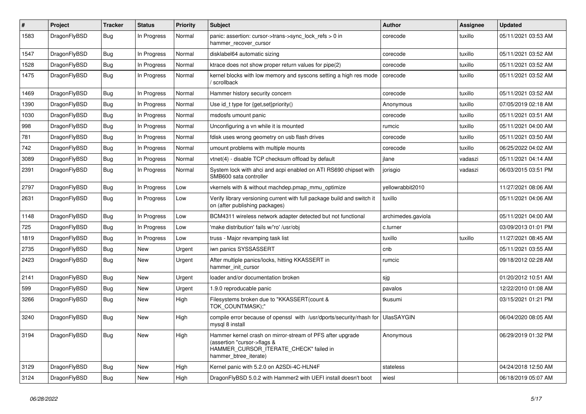| $\#$ | Project      | <b>Tracker</b> | <b>Status</b> | <b>Priority</b> | <b>Subject</b>                                                                                                                                              | <b>Author</b>      | Assignee | <b>Updated</b>      |
|------|--------------|----------------|---------------|-----------------|-------------------------------------------------------------------------------------------------------------------------------------------------------------|--------------------|----------|---------------------|
| 1583 | DragonFlyBSD | <b>Bug</b>     | In Progress   | Normal          | panic: assertion: cursor->trans->sync_lock_refs > 0 in<br>hammer recover cursor                                                                             | corecode           | tuxillo  | 05/11/2021 03:53 AM |
| 1547 | DragonFlyBSD | Bug            | In Progress   | Normal          | disklabel64 automatic sizing                                                                                                                                | corecode           | tuxillo  | 05/11/2021 03:52 AM |
| 1528 | DragonFlyBSD | Bug            | In Progress   | Normal          | ktrace does not show proper return values for pipe(2)                                                                                                       | corecode           | tuxillo  | 05/11/2021 03:52 AM |
| 1475 | DragonFlyBSD | Bug            | In Progress   | Normal          | kernel blocks with low memory and syscons setting a high res mode<br>/ scrollback                                                                           | corecode           | tuxillo  | 05/11/2021 03:52 AM |
| 1469 | DragonFlyBSD | <b>Bug</b>     | In Progress   | Normal          | Hammer history security concern                                                                                                                             | corecode           | tuxillo  | 05/11/2021 03:52 AM |
| 1390 | DragonFlyBSD | <b>Bug</b>     | In Progress   | Normal          | Use id_t type for {get,set}priority()                                                                                                                       | Anonymous          | tuxillo  | 07/05/2019 02:18 AM |
| 1030 | DragonFlyBSD | <b>Bug</b>     | In Progress   | Normal          | msdosfs umount panic                                                                                                                                        | corecode           | tuxillo  | 05/11/2021 03:51 AM |
| 998  | DragonFlyBSD | <b>Bug</b>     | In Progress   | Normal          | Unconfiguring a vn while it is mounted                                                                                                                      | rumcic             | tuxillo  | 05/11/2021 04:00 AM |
| 781  | DragonFlyBSD | <b>Bug</b>     | In Progress   | Normal          | fdisk uses wrong geometry on usb flash drives                                                                                                               | corecode           | tuxillo  | 05/11/2021 03:50 AM |
| 742  | DragonFlyBSD | <b>Bug</b>     | In Progress   | Normal          | umount problems with multiple mounts                                                                                                                        | corecode           | tuxillo  | 06/25/2022 04:02 AM |
| 3089 | DragonFlyBSD | <b>Bug</b>     | In Progress   | Normal          | vtnet(4) - disable TCP checksum offload by default                                                                                                          | jlane              | vadaszi  | 05/11/2021 04:14 AM |
| 2391 | DragonFlyBSD | <b>Bug</b>     | In Progress   | Normal          | System lock with ahci and acpi enabled on ATI RS690 chipset with<br>SMB600 sata controller                                                                  | jorisgio           | vadaszi  | 06/03/2015 03:51 PM |
| 2797 | DragonFlyBSD | <b>Bug</b>     | In Progress   | Low             | vkernels with & without machdep.pmap_mmu_optimize                                                                                                           | yellowrabbit2010   |          | 11/27/2021 08:06 AM |
| 2631 | DragonFlyBSD | <b>Bug</b>     | In Progress   | Low             | Verify library versioning current with full package build and switch it<br>on (after publishing packages)                                                   | tuxillo            |          | 05/11/2021 04:06 AM |
| 1148 | DragonFlyBSD | <b>Bug</b>     | In Progress   | Low             | BCM4311 wireless network adapter detected but not functional                                                                                                | archimedes.gaviola |          | 05/11/2021 04:00 AM |
| 725  | DragonFlyBSD | Bug            | In Progress   | Low             | 'make distribution' fails w/'ro' /usr/obj                                                                                                                   | c.turner           |          | 03/09/2013 01:01 PM |
| 1819 | DragonFlyBSD | Bug            | In Progress   | Low             | truss - Major revamping task list                                                                                                                           | tuxillo            | tuxillo  | 11/27/2021 08:45 AM |
| 2735 | DragonFlyBSD | Bug            | New           | Urgent          | iwn panics SYSSASSERT                                                                                                                                       | cnb                |          | 05/11/2021 03:55 AM |
| 2423 | DragonFlyBSD | Bug            | New           | Urgent          | After multiple panics/locks, hitting KKASSERT in<br>hammer init cursor                                                                                      | rumcic             |          | 09/18/2012 02:28 AM |
| 2141 | DragonFlyBSD | <b>Bug</b>     | <b>New</b>    | Urgent          | loader and/or documentation broken                                                                                                                          | sjg                |          | 01/20/2012 10:51 AM |
| 599  | DragonFlyBSD | <b>Bug</b>     | New           | Urgent          | 1.9.0 reproducable panic                                                                                                                                    | pavalos            |          | 12/22/2010 01:08 AM |
| 3266 | DragonFlyBSD | Bug            | <b>New</b>    | High            | Filesystems broken due to "KKASSERT(count &<br>TOK_COUNTMASK);"                                                                                             | tkusumi            |          | 03/15/2021 01:21 PM |
| 3240 | DragonFlyBSD | <b>Bug</b>     | New           | High            | compile error because of openssl with /usr/dports/security/rhash for<br>mysgl 8 install                                                                     | <b>UlasSAYGIN</b>  |          | 06/04/2020 08:05 AM |
| 3194 | DragonFlyBSD | <b>Bug</b>     | New           | High            | Hammer kernel crash on mirror-stream of PFS after upgrade<br>(assertion "cursor->flags &<br>HAMMER_CURSOR_ITERATE_CHECK" failed in<br>hammer btree iterate) | Anonymous          |          | 06/29/2019 01:32 PM |
| 3129 | DragonFlyBSD | <b>Bug</b>     | <b>New</b>    | High            | Kernel panic with 5.2.0 on A2SDi-4C-HLN4F                                                                                                                   | stateless          |          | 04/24/2018 12:50 AM |
| 3124 | DragonFlyBSD | <b>Bug</b>     | <b>New</b>    | High            | DragonFlyBSD 5.0.2 with Hammer2 with UEFI install doesn't boot                                                                                              | wiesl              |          | 06/18/2019 05:07 AM |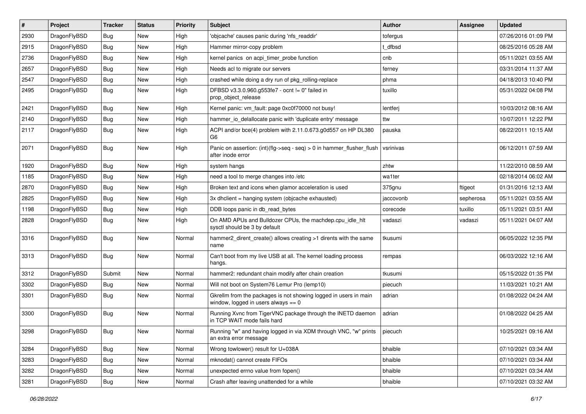| $\#$ | Project      | <b>Tracker</b> | <b>Status</b> | <b>Priority</b> | <b>Subject</b>                                                                                            | <b>Author</b> | Assignee  | <b>Updated</b>      |
|------|--------------|----------------|---------------|-----------------|-----------------------------------------------------------------------------------------------------------|---------------|-----------|---------------------|
| 2930 | DragonFlyBSD | <b>Bug</b>     | <b>New</b>    | High            | 'objcache' causes panic during 'nfs_readdir'                                                              | tofergus      |           | 07/26/2016 01:09 PM |
| 2915 | DragonFlyBSD | <b>Bug</b>     | <b>New</b>    | High            | Hammer mirror-copy problem                                                                                | t dfbsd       |           | 08/25/2016 05:28 AM |
| 2736 | DragonFlyBSD | Bug            | New           | High            | kernel panics on acpi timer probe function                                                                | cnb           |           | 05/11/2021 03:55 AM |
| 2657 | DragonFlyBSD | Bug            | New           | High            | Needs acl to migrate our servers                                                                          | ferney        |           | 03/31/2014 11:37 AM |
| 2547 | DragonFlyBSD | <b>Bug</b>     | New           | High            | crashed while doing a dry run of pkg_rolling-replace                                                      | phma          |           | 04/18/2013 10:40 PM |
| 2495 | DragonFlyBSD | Bug            | New           | High            | DFBSD v3.3.0.960.g553fe7 - ocnt != 0" failed in<br>prop_object_release                                    | tuxillo       |           | 05/31/2022 04:08 PM |
| 2421 | DragonFlyBSD | <b>Bug</b>     | New           | High            | Kernel panic: vm_fault: page 0xc0f70000 not busy!                                                         | lentferj      |           | 10/03/2012 08:16 AM |
| 2140 | DragonFlyBSD | Bug            | New           | High            | hammer_io_delallocate panic with 'duplicate entry' message                                                | ttw           |           | 10/07/2011 12:22 PM |
| 2117 | DragonFlyBSD | <b>Bug</b>     | New           | High            | ACPI and/or bce(4) problem with 2.11.0.673.g0d557 on HP DL380<br>G6                                       | pauska        |           | 08/22/2011 10:15 AM |
| 2071 | DragonFlyBSD | Bug            | New           | High            | Panic on assertion: (int)(flg->seq - seq) > 0 in hammer_flusher_flush<br>after inode error                | vsrinivas     |           | 06/12/2011 07:59 AM |
| 1920 | DragonFlyBSD | <b>Bug</b>     | New           | High            | system hangs                                                                                              | zhtw          |           | 11/22/2010 08:59 AM |
| 1185 | DragonFlyBSD | Bug            | New           | High            | need a tool to merge changes into /etc                                                                    | wa1ter        |           | 02/18/2014 06:02 AM |
| 2870 | DragonFlyBSD | Bug            | New           | High            | Broken text and icons when glamor acceleration is used                                                    | 375gnu        | ftigeot   | 01/31/2016 12:13 AM |
| 2825 | DragonFlyBSD | <b>Bug</b>     | New           | High            | 3x dhclient = hanging system (objcache exhausted)                                                         | jaccovonb     | sepherosa | 05/11/2021 03:55 AM |
| 1198 | DragonFlyBSD | <b>Bug</b>     | New           | High            | DDB loops panic in db read bytes                                                                          | corecode      | tuxillo   | 05/11/2021 03:51 AM |
| 2828 | DragonFlyBSD | Bug            | New           | High            | On AMD APUs and Bulldozer CPUs, the machdep.cpu idle hlt<br>sysctl should be 3 by default                 | vadaszi       | vadaszi   | 05/11/2021 04:07 AM |
| 3316 | DragonFlyBSD | <b>Bug</b>     | New           | Normal          | hammer2_dirent_create() allows creating >1 dirents with the same<br>name                                  | tkusumi       |           | 06/05/2022 12:35 PM |
| 3313 | DragonFlyBSD | <b>Bug</b>     | New           | Normal          | Can't boot from my live USB at all. The kernel loading process<br>hangs.                                  | rempas        |           | 06/03/2022 12:16 AM |
| 3312 | DragonFlyBSD | Submit         | New           | Normal          | hammer2: redundant chain modify after chain creation                                                      | tkusumi       |           | 05/15/2022 01:35 PM |
| 3302 | DragonFlyBSD | Bug            | New           | Normal          | Will not boot on System76 Lemur Pro (lemp10)                                                              | piecuch       |           | 11/03/2021 10:21 AM |
| 3301 | DragonFlyBSD | <b>Bug</b>     | New           | Normal          | Gkrellm from the packages is not showing logged in users in main<br>window, logged in users always $== 0$ | adrian        |           | 01/08/2022 04:24 AM |
| 3300 | DragonFlyBSD | Bug            | <b>New</b>    | Normal          | Running Xvnc from TigerVNC package through the INETD daemon<br>in TCP WAIT mode fails hard                | adrian        |           | 01/08/2022 04:25 AM |
| 3298 | DragonFlyBSD | Bug            | New           | Normal          | Running "w" and having logged in via XDM through VNC, "w" prints   piecuch<br>an extra error message      |               |           | 10/25/2021 09:16 AM |
| 3284 | DragonFlyBSD | Bug            | New           | Normal          | Wrong towlower() result for U+038A                                                                        | bhaible       |           | 07/10/2021 03:34 AM |
| 3283 | DragonFlyBSD | <b>Bug</b>     | New           | Normal          | mknodat() cannot create FIFOs                                                                             | bhaible       |           | 07/10/2021 03:34 AM |
| 3282 | DragonFlyBSD | Bug            | New           | Normal          | unexpected errno value from fopen()                                                                       | bhaible       |           | 07/10/2021 03:34 AM |
| 3281 | DragonFlyBSD | Bug            | New           | Normal          | Crash after leaving unattended for a while                                                                | bhaible       |           | 07/10/2021 03:32 AM |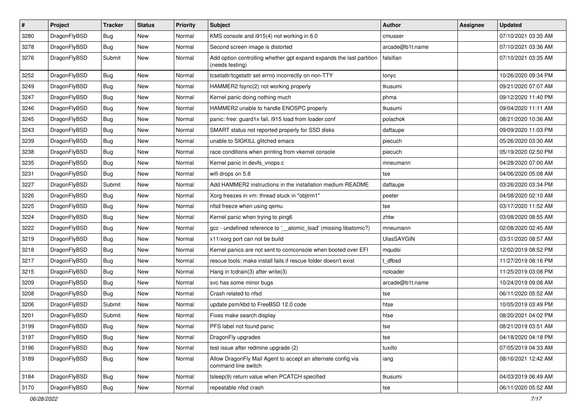| $\sharp$ | Project      | <b>Tracker</b> | <b>Status</b> | <b>Priority</b> | Subject                                                                                 | Author            | Assignee | <b>Updated</b>      |
|----------|--------------|----------------|---------------|-----------------|-----------------------------------------------------------------------------------------|-------------------|----------|---------------------|
| 3280     | DragonFlyBSD | Bug            | New           | Normal          | KMS console and i915(4) not working in 6.0                                              | cmusser           |          | 07/10/2021 03:35 AM |
| 3278     | DragonFlyBSD | Bug            | New           | Normal          | Second screen image is distorted                                                        | arcade@b1t.name   |          | 07/10/2021 03:36 AM |
| 3276     | DragonFlyBSD | Submit         | <b>New</b>    | Normal          | Add option controlling whether gpt expand expands the last partition<br>(needs testing) | falsifian         |          | 07/10/2021 03:35 AM |
| 3252     | DragonFlyBSD | Bug            | <b>New</b>    | Normal          | tcsetattr/tcgetattr set errno incorrectly on non-TTY                                    | tonyc             |          | 10/26/2020 09:34 PM |
| 3249     | DragonFlyBSD | Bug            | New           | Normal          | HAMMER2 fsync(2) not working properly                                                   | tkusumi           |          | 09/21/2020 07:07 AM |
| 3247     | DragonFlyBSD | Bug            | New           | Normal          | Kernel panic doing nothing much                                                         | phma              |          | 09/12/2020 11:40 PM |
| 3246     | DragonFlyBSD | Bug            | <b>New</b>    | Normal          | HAMMER2 unable to handle ENOSPC properly                                                | tkusumi           |          | 09/04/2020 11:11 AM |
| 3245     | DragonFlyBSD | Bug            | New           | Normal          | panic: free: guard1x fail, i915 load from loader.conf                                   | polachok          |          | 08/21/2020 10:36 AM |
| 3243     | DragonFlyBSD | Bug            | <b>New</b>    | Normal          | SMART status not reported properly for SSD disks                                        | daftaupe          |          | 09/09/2020 11:03 PM |
| 3239     | DragonFlyBSD | <b>Bug</b>     | <b>New</b>    | Normal          | unable to SIGKILL glitched emacs                                                        | piecuch           |          | 05/26/2020 03:30 AM |
| 3238     | DragonFlyBSD | <b>Bug</b>     | New           | Normal          | race conditions when printing from vkernel console                                      | piecuch           |          | 05/19/2020 02:50 PM |
| 3235     | DragonFlyBSD | <b>Bug</b>     | New           | Normal          | Kernel panic in devfs vnops.c                                                           | mneumann          |          | 04/28/2020 07:00 AM |
| 3231     | DragonFlyBSD | <b>Bug</b>     | <b>New</b>    | Normal          | wifi drops on 5.8                                                                       | tse               |          | 04/06/2020 05:08 AM |
| 3227     | DragonFlyBSD | Submit         | New           | Normal          | Add HAMMER2 instructions in the installation medium README                              | daftaupe          |          | 03/26/2020 03:34 PM |
| 3226     | DragonFlyBSD | <b>Bug</b>     | <b>New</b>    | Normal          | Xorg freezes in vm: thread stuck in "objtrm1"                                           | peeter            |          | 04/08/2020 02:10 AM |
| 3225     | DragonFlyBSD | Bug            | New           | Normal          | nfsd freeze when using qemu                                                             | tse               |          | 03/17/2020 11:52 AM |
| 3224     | DragonFlyBSD | Bug            | <b>New</b>    | Normal          | Kernel panic when trying to ping6                                                       | zhtw              |          | 03/08/2020 08:55 AM |
| 3222     | DragonFlyBSD | <b>Bug</b>     | <b>New</b>    | Normal          | gcc - undefined reference to '__atomic_load' (missing libatomic?)                       | mneumann          |          | 02/08/2020 02:45 AM |
| 3219     | DragonFlyBSD | <b>Bug</b>     | <b>New</b>    | Normal          | x11/xorg port can not be build                                                          | <b>UlasSAYGIN</b> |          | 03/31/2020 08:57 AM |
| 3218     | DragonFlyBSD | <b>Bug</b>     | New           | Normal          | Kernel panics are not sent to comconsole when booted over EFI                           | mqudsi            |          | 12/02/2019 08:52 PM |
| 3217     | DragonFlyBSD | <b>Bug</b>     | <b>New</b>    | Normal          | rescue tools: make install fails if rescue folder doesn't exist                         | : dfbsd           |          | 11/27/2019 08:16 PM |
| 3215     | DragonFlyBSD | Bug            | <b>New</b>    | Normal          | Hang in tcdrain(3) after write(3)                                                       | noloader          |          | 11/25/2019 03:08 PM |
| 3209     | DragonFlyBSD | Bug            | New           | Normal          | svc has some minor bugs                                                                 | arcade@b1t.name   |          | 10/24/2019 09:08 AM |
| 3208     | DragonFlyBSD | <b>Bug</b>     | New           | Normal          | Crash related to nfsd                                                                   | tse               |          | 06/11/2020 05:52 AM |
| 3206     | DragonFlyBSD | Submit         | New           | Normal          | update psm/kbd to FreeBSD 12.0 code                                                     | htse              |          | 10/05/2019 03:49 PM |
| 3201     | DragonFlyBSD | Submit         | <b>New</b>    | Normal          | Fixes make search display                                                               | htse              |          | 08/20/2021 04:02 PM |
| 3199     | DragonFlyBSD | <b>Bug</b>     | New           | Normal          | PFS label not found panic                                                               | tse               |          | 08/21/2019 03:51 AM |
| 3197     | DragonFlyBSD | <b>Bug</b>     | <b>New</b>    | Normal          | DragonFly upgrades                                                                      | tse               |          | 04/18/2020 04:18 PM |
| 3196     | DragonFlyBSD | <b>Bug</b>     | New           | Normal          | test issue after redmine upgrade (2)                                                    | tuxillo           |          | 07/05/2019 04:33 AM |
| 3189     | DragonFlyBSD | <b>Bug</b>     | New           | Normal          | Allow DragonFly Mail Agent to accept an alternate config via<br>command line switch     | iang              |          | 08/16/2021 12:42 AM |
| 3184     | DragonFlyBSD | Bug            | <b>New</b>    | Normal          | tsleep(9) return value when PCATCH specified                                            | tkusumi           |          | 04/03/2019 06:49 AM |
| 3170     | DragonFlyBSD | <b>Bug</b>     | New           | Normal          | repeatable nfsd crash                                                                   | tse               |          | 06/11/2020 05:52 AM |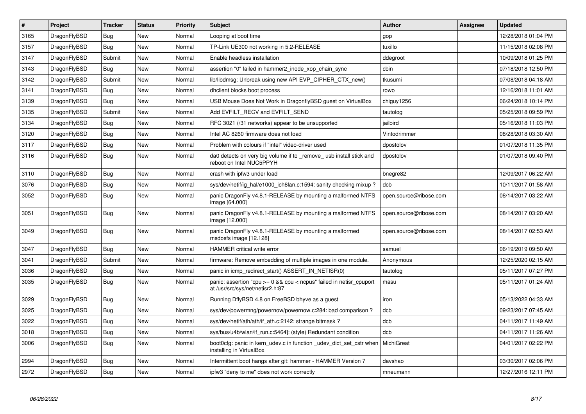| $\vert$ # | <b>Project</b> | <b>Tracker</b> | <b>Status</b> | <b>Priority</b> | <b>Subject</b>                                                                                          | Author                 | Assignee | <b>Updated</b>      |
|-----------|----------------|----------------|---------------|-----------------|---------------------------------------------------------------------------------------------------------|------------------------|----------|---------------------|
| 3165      | DragonFlyBSD   | Bug            | <b>New</b>    | Normal          | Looping at boot time                                                                                    | gop                    |          | 12/28/2018 01:04 PM |
| 3157      | DragonFlyBSD   | Bug            | <b>New</b>    | Normal          | TP-Link UE300 not working in 5.2-RELEASE                                                                | tuxillo                |          | 11/15/2018 02:08 PM |
| 3147      | DragonFlyBSD   | Submit         | <b>New</b>    | Normal          | Enable headless installation                                                                            | ddegroot               |          | 10/09/2018 01:25 PM |
| 3143      | DragonFlyBSD   | Bug            | <b>New</b>    | Normal          | assertion "0" failed in hammer2 inode xop chain sync                                                    | cbin                   |          | 07/18/2018 12:50 PM |
| 3142      | DragonFlyBSD   | Submit         | <b>New</b>    | Normal          | lib/libdmsg: Unbreak using new API EVP_CIPHER_CTX_new()                                                 | tkusumi                |          | 07/08/2018 04:18 AM |
| 3141      | DragonFlyBSD   | Bug            | <b>New</b>    | Normal          | dhclient blocks boot process                                                                            | rowo                   |          | 12/16/2018 11:01 AM |
| 3139      | DragonFlyBSD   | Bug            | <b>New</b>    | Normal          | USB Mouse Does Not Work in DragonflyBSD guest on VirtualBox                                             | chiguy1256             |          | 06/24/2018 10:14 PM |
| 3135      | DragonFlyBSD   | Submit         | <b>New</b>    | Normal          | Add EVFILT RECV and EVFILT SEND                                                                         | tautolog               |          | 05/25/2018 09:59 PM |
| 3134      | DragonFlyBSD   | <b>Bug</b>     | <b>New</b>    | Normal          | RFC 3021 (/31 networks) appear to be unsupported                                                        | jailbird               |          | 05/16/2018 11:03 PM |
| 3120      | DragonFlyBSD   | Bug            | New           | Normal          | Intel AC 8260 firmware does not load                                                                    | Vintodrimmer           |          | 08/28/2018 03:30 AM |
| 3117      | DragonFlyBSD   | <b>Bug</b>     | <b>New</b>    | Normal          | Problem with colours if "intel" video-driver used                                                       | dpostolov              |          | 01/07/2018 11:35 PM |
| 3116      | DragonFlyBSD   | Bug            | New           | Normal          | da0 detects on very big volume if to _remove_usb install stick and<br>reboot on Intel NUC5PPYH          | dpostolov              |          | 01/07/2018 09:40 PM |
| 3110      | DragonFlyBSD   | Bug            | New           | Normal          | crash with ipfw3 under load                                                                             | bnegre82               |          | 12/09/2017 06:22 AM |
| 3076      | DragonFlyBSD   | <b>Bug</b>     | New           | Normal          | sys/dev/netif/ig hal/e1000 ich8lan.c:1594: sanity checking mixup?                                       | dcb                    |          | 10/11/2017 01:58 AM |
| 3052      | DragonFlyBSD   | Bug            | New           | Normal          | panic DragonFly v4.8.1-RELEASE by mounting a malformed NTFS<br>image [64.000]                           | open.source@ribose.com |          | 08/14/2017 03:22 AM |
| 3051      | DragonFlyBSD   | <b>Bug</b>     | New           | Normal          | panic DragonFly v4.8.1-RELEASE by mounting a malformed NTFS<br>image [12.000]                           | open.source@ribose.com |          | 08/14/2017 03:20 AM |
| 3049      | DragonFlyBSD   | Bug            | New           | Normal          | panic DragonFly v4.8.1-RELEASE by mounting a malformed<br>msdosfs image [12.128]                        | open.source@ribose.com |          | 08/14/2017 02:53 AM |
| 3047      | DragonFlyBSD   | Bug            | <b>New</b>    | Normal          | <b>HAMMER</b> critical write error                                                                      | samuel                 |          | 06/19/2019 09:50 AM |
| 3041      | DragonFlyBSD   | Submit         | <b>New</b>    | Normal          | firmware: Remove embedding of multiple images in one module.                                            | Anonymous              |          | 12/25/2020 02:15 AM |
| 3036      | DragonFlyBSD   | Bug            | New           | Normal          | panic in icmp redirect start() ASSERT IN NETISR(0)                                                      | tautolog               |          | 05/11/2017 07:27 PM |
| 3035      | DragonFlyBSD   | <b>Bug</b>     | <b>New</b>    | Normal          | panic: assertion "cpu >= 0 && cpu < ncpus" failed in netisr_cpuport<br>at /usr/src/sys/net/netisr2.h:87 | masu                   |          | 05/11/2017 01:24 AM |
| 3029      | DragonFlyBSD   | <b>Bug</b>     | <b>New</b>    | Normal          | Running DflyBSD 4.8 on FreeBSD bhyve as a guest                                                         | iron                   |          | 05/13/2022 04:33 AM |
| 3025      | DragonFlyBSD   | Bug            | <b>New</b>    | Normal          | sys/dev/powermng/powernow/powernow.c:284: bad comparison?                                               | dcb                    |          | 09/23/2017 07:45 AM |
| 3022      | DragonFlyBSD   | Bug            | New           | Normal          | sys/dev/netif/ath/ath/if ath.c:2142: strange bitmask?                                                   | dcb                    |          | 04/11/2017 11:49 AM |
| 3018      | DragonFlyBSD   | Bug            | New           | Normal          | sys/bus/u4b/wlan/if run.c:5464]: (style) Redundant condition                                            | dcb                    |          | 04/11/2017 11:26 AM |
| 3006      | DragonFlyBSD   | Bug            | New           | Normal          | boot0cfg: panic in kern_udev.c in function _udev_dict_set_cstr when<br>installing in VirtualBox         | MichiGreat             |          | 04/01/2017 02:22 PM |
| 2994      | DragonFlyBSD   | Bug            | <b>New</b>    | Normal          | Intermittent boot hangs after git: hammer - HAMMER Version 7                                            | davshao                |          | 03/30/2017 02:06 PM |
| 2972      | DragonFlyBSD   | Bug            | New           | Normal          | ipfw3 "deny to me" does not work correctly                                                              | mneumann               |          | 12/27/2016 12:11 PM |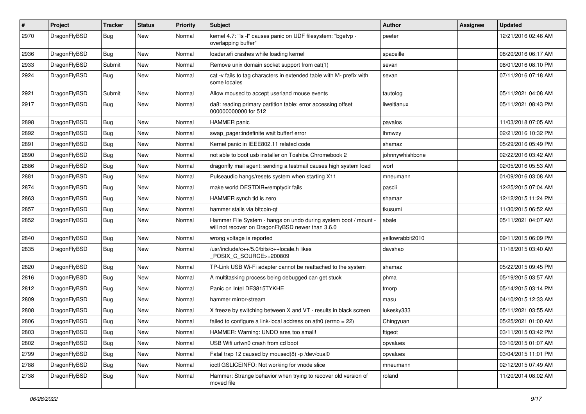| $\pmb{\#}$ | Project      | <b>Tracker</b> | <b>Status</b> | <b>Priority</b> | Subject                                                                                                              | Author           | Assignee | <b>Updated</b>      |
|------------|--------------|----------------|---------------|-----------------|----------------------------------------------------------------------------------------------------------------------|------------------|----------|---------------------|
| 2970       | DragonFlyBSD | Bug            | New           | Normal          | kernel 4.7: "Is -I" causes panic on UDF filesystem: "bgetvp -<br>overlapping buffer"                                 | peeter           |          | 12/21/2016 02:46 AM |
| 2936       | DragonFlyBSD | <b>Bug</b>     | New           | Normal          | loader.efi crashes while loading kernel                                                                              | spaceille        |          | 08/20/2016 06:17 AM |
| 2933       | DragonFlyBSD | Submit         | New           | Normal          | Remove unix domain socket support from cat(1)                                                                        | sevan            |          | 08/01/2016 08:10 PM |
| 2924       | DragonFlyBSD | Bug            | New           | Normal          | cat -v fails to tag characters in extended table with M- prefix with<br>some locales                                 | sevan            |          | 07/11/2016 07:18 AM |
| 2921       | DragonFlyBSD | Submit         | New           | Normal          | Allow moused to accept userland mouse events                                                                         | tautolog         |          | 05/11/2021 04:08 AM |
| 2917       | DragonFlyBSD | Bug            | New           | Normal          | da8: reading primary partition table: error accessing offset<br>000000000000 for 512                                 | liweitianux      |          | 05/11/2021 08:43 PM |
| 2898       | DragonFlyBSD | Bug            | <b>New</b>    | Normal          | <b>HAMMER</b> panic                                                                                                  | pavalos          |          | 11/03/2018 07:05 AM |
| 2892       | DragonFlyBSD | Bug            | New           | Normal          | swap pager:indefinite wait bufferf error                                                                             | lhmwzy           |          | 02/21/2016 10:32 PM |
| 2891       | DragonFlyBSD | Bug            | New           | Normal          | Kernel panic in IEEE802.11 related code                                                                              | shamaz           |          | 05/29/2016 05:49 PM |
| 2890       | DragonFlyBSD | <b>Bug</b>     | <b>New</b>    | Normal          | not able to boot usb installer on Toshiba Chromebook 2                                                               | johnnywhishbone  |          | 02/22/2016 03:42 AM |
| 2886       | DragonFlyBSD | Bug            | <b>New</b>    | Normal          | dragonfly mail agent: sending a testmail causes high system load                                                     | worf             |          | 02/05/2016 05:53 AM |
| 2881       | DragonFlyBSD | Bug            | New           | Normal          | Pulseaudio hangs/resets system when starting X11                                                                     | mneumann         |          | 01/09/2016 03:08 AM |
| 2874       | DragonFlyBSD | Bug            | <b>New</b>    | Normal          | make world DESTDIR=/emptydir fails                                                                                   | pascii           |          | 12/25/2015 07:04 AM |
| 2863       | DragonFlyBSD | Bug            | New           | Normal          | HAMMER synch tid is zero                                                                                             | shamaz           |          | 12/12/2015 11:24 PM |
| 2857       | DragonFlyBSD | Bug            | <b>New</b>    | Normal          | hammer stalls via bitcoin-qt                                                                                         | tkusumi          |          | 11/30/2015 06:52 AM |
| 2852       | DragonFlyBSD | <b>Bug</b>     | New           | Normal          | Hammer File System - hangs on undo during system boot / mount -<br>will not recover on DragonFlyBSD newer than 3.6.0 | abale            |          | 05/11/2021 04:07 AM |
| 2840       | DragonFlyBSD | Bug            | <b>New</b>    | Normal          | wrong voltage is reported                                                                                            | yellowrabbit2010 |          | 09/11/2015 06:09 PM |
| 2835       | DragonFlyBSD | Bug            | New           | Normal          | /usr/include/c++/5.0/bits/c++locale.h likes<br>POSIX_C_SOURCE>=200809                                                | davshao          |          | 11/18/2015 03:40 AM |
| 2820       | DragonFlyBSD | <b>Bug</b>     | <b>New</b>    | Normal          | TP-Link USB Wi-Fi adapter cannot be reattached to the system                                                         | shamaz           |          | 05/22/2015 09:45 PM |
| 2816       | DragonFlyBSD | Bug            | <b>New</b>    | Normal          | A multitasking process being debugged can get stuck                                                                  | phma             |          | 05/19/2015 03:57 AM |
| 2812       | DragonFlyBSD | Bug            | <b>New</b>    | Normal          | Panic on Intel DE3815TYKHE                                                                                           | tmorp            |          | 05/14/2015 03:14 PM |
| 2809       | DragonFlyBSD | Bug            | New           | Normal          | hammer mirror-stream                                                                                                 | masu             |          | 04/10/2015 12:33 AM |
| 2808       | DragonFlyBSD | Bug            | New           | Normal          | X freeze by switching between X and VT - results in black screen                                                     | lukesky333       |          | 05/11/2021 03:55 AM |
| 2806       | DragonFlyBSD | Bug            | New           | Normal          | failed to configure a link-local address on ath $0$ (errno = 22)                                                     | Chingyuan        |          | 05/25/2021 01:00 AM |
| 2803       | DragonFlyBSD | Bug            | New           | Normal          | HAMMER: Warning: UNDO area too small!                                                                                | ftigeot          |          | 03/11/2015 03:42 PM |
| 2802       | DragonFlyBSD | Bug            | New           | Normal          | USB Wifi urtwn0 crash from cd boot                                                                                   | opvalues         |          | 03/10/2015 01:07 AM |
| 2799       | DragonFlyBSD | <b>Bug</b>     | New           | Normal          | Fatal trap 12 caused by moused(8) -p/dev/cual0                                                                       | opvalues         |          | 03/04/2015 11:01 PM |
| 2788       | DragonFlyBSD | Bug            | New           | Normal          | ioctl GSLICEINFO: Not working for vnode slice                                                                        | mneumann         |          | 02/12/2015 07:49 AM |
| 2738       | DragonFlyBSD | <b>Bug</b>     | New           | Normal          | Hammer: Strange behavior when trying to recover old version of<br>moved file                                         | roland           |          | 11/20/2014 08:02 AM |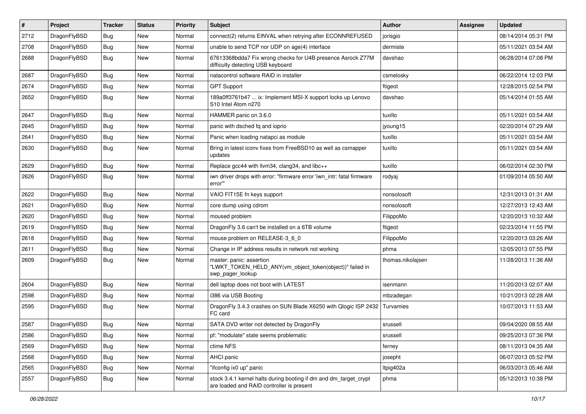| $\sharp$ | Project      | <b>Tracker</b> | <b>Status</b> | <b>Priority</b> | <b>Subject</b>                                                                                                 | <b>Author</b>     | <b>Assignee</b> | <b>Updated</b>      |
|----------|--------------|----------------|---------------|-----------------|----------------------------------------------------------------------------------------------------------------|-------------------|-----------------|---------------------|
| 2712     | DragonFlyBSD | Bug            | <b>New</b>    | Normal          | connect(2) returns EINVAL when retrying after ECONNREFUSED                                                     | jorisgio          |                 | 08/14/2014 05:31 PM |
| 2708     | DragonFlyBSD | Bug            | <b>New</b>    | Normal          | unable to send TCP nor UDP on age(4) interface                                                                 | dermiste          |                 | 05/11/2021 03:54 AM |
| 2688     | DragonFlyBSD | <b>Bug</b>     | <b>New</b>    | Normal          | 67613368bdda7 Fix wrong checks for U4B presence Asrock Z77M<br>difficulty detecting USB keyboard               | davshao           |                 | 06/28/2014 07:08 PM |
| 2687     | DragonFlyBSD | Bug            | <b>New</b>    | Normal          | natacontrol software RAID in installer                                                                         | csmelosky         |                 | 06/22/2014 12:03 PM |
| 2674     | DragonFlyBSD | <b>Bug</b>     | <b>New</b>    | Normal          | <b>GPT Support</b>                                                                                             | ftigeot           |                 | 12/28/2015 02:54 PM |
| 2652     | DragonFlyBSD | <b>Bug</b>     | <b>New</b>    | Normal          | 189a0ff3761b47  ix: Implement MSI-X support locks up Lenovo<br>S10 Intel Atom n270                             | davshao           |                 | 05/14/2014 01:55 AM |
| 2647     | DragonFlyBSD | <b>Bug</b>     | <b>New</b>    | Normal          | HAMMER panic on 3.6.0                                                                                          | tuxillo           |                 | 05/11/2021 03:54 AM |
| 2645     | DragonFlyBSD | <b>Bug</b>     | <b>New</b>    | Normal          | panic with dsched fq and ioprio                                                                                | jyoung15          |                 | 02/20/2014 07:29 AM |
| 2641     | DragonFlyBSD | <b>Bug</b>     | <b>New</b>    | Normal          | Panic when loading natapci as module                                                                           | tuxillo           |                 | 05/11/2021 03:54 AM |
| 2630     | DragonFlyBSD | Bug            | New           | Normal          | Bring in latest iconv fixes from FreeBSD10 as well as csmapper<br>updates                                      | tuxillo           |                 | 05/11/2021 03:54 AM |
| 2629     | DragonFlyBSD | <b>Bug</b>     | <b>New</b>    | Normal          | Replace gcc44 with llvm34, clang34, and libc++                                                                 | tuxillo           |                 | 06/02/2014 02:30 PM |
| 2626     | DragonFlyBSD | Bug            | New           | Normal          | iwn driver drops with error: "firmware error 'iwn_intr: fatal firmware<br>error""                              | rodyaj            |                 | 01/09/2014 05:50 AM |
| 2622     | DragonFlyBSD | <b>Bug</b>     | <b>New</b>    | Normal          | VAIO FIT15E fn keys support                                                                                    | nonsolosoft       |                 | 12/31/2013 01:31 AM |
| 2621     | DragonFlyBSD | <b>Bug</b>     | New           | Normal          | core dump using cdrom                                                                                          | nonsolosoft       |                 | 12/27/2013 12:43 AM |
| 2620     | DragonFlyBSD | <b>Bug</b>     | <b>New</b>    | Normal          | moused problem                                                                                                 | FilippoMo         |                 | 12/20/2013 10:32 AM |
| 2619     | DragonFlyBSD | <b>Bug</b>     | <b>New</b>    | Normal          | DragonFly 3.6 can't be installed on a 6TB volume                                                               | ftigeot           |                 | 02/23/2014 11:55 PM |
| 2618     | DragonFlyBSD | <b>Bug</b>     | <b>New</b>    | Normal          | mouse problem on RELEASE-3_6_0                                                                                 | FilippoMo         |                 | 12/20/2013 03:26 AM |
| 2611     | DragonFlyBSD | <b>Bug</b>     | <b>New</b>    | Normal          | Change in IP address results in network not working                                                            | phma              |                 | 12/05/2013 07:55 PM |
| 2609     | DragonFlyBSD | Bug            | <b>New</b>    | Normal          | master: panic: assertion<br>"LWKT_TOKEN_HELD_ANY(vm_object_token(object))" failed in<br>swp_pager_lookup       | thomas.nikolajsen |                 | 11/28/2013 11:36 AM |
| 2604     | DragonFlyBSD | <b>Bug</b>     | New           | Normal          | dell laptop does not boot with LATEST                                                                          | isenmann          |                 | 11/20/2013 02:07 AM |
| 2598     | DragonFlyBSD | <b>Bug</b>     | <b>New</b>    | Normal          | i386 via USB Booting                                                                                           | mbzadegan         |                 | 10/21/2013 02:28 AM |
| 2595     | DragonFlyBSD | <b>Bug</b>     | New           | Normal          | DragonFly 3.4.3 crashes on SUN Blade X6250 with Qlogic ISP 2432<br>FC card                                     | Turvamies         |                 | 10/07/2013 11:53 AM |
| 2587     | DragonFlyBSD | Bug            | <b>New</b>    | Normal          | SATA DVD writer not detected by DragonFly                                                                      | srussell          |                 | 09/04/2020 08:55 AM |
| 2586     | DragonFlyBSD | <b>Bug</b>     | New           | Normal          | pf: "modulate" state seems problematic                                                                         | srussell          |                 | 09/25/2013 07:36 PM |
| 2569     | DragonFlyBSD | <b>Bug</b>     | New           | Normal          | ctime NFS                                                                                                      | ferney            |                 | 08/11/2013 04:35 AM |
| 2568     | DragonFlyBSD | <b>Bug</b>     | New           | Normal          | AHCI panic                                                                                                     | josepht           |                 | 06/07/2013 05:52 PM |
| 2565     | DragonFlyBSD | <b>Bug</b>     | New           | Normal          | "ifconfig ix0 up" panic                                                                                        | ltpig402a         |                 | 06/03/2013 05:46 AM |
| 2557     | DragonFlyBSD | <b>Bug</b>     | New           | Normal          | stock 3.4.1 kernel halts during booting if dm and dm_target_crypt<br>are loaded and RAID controller is present | phma              |                 | 05/12/2013 10:38 PM |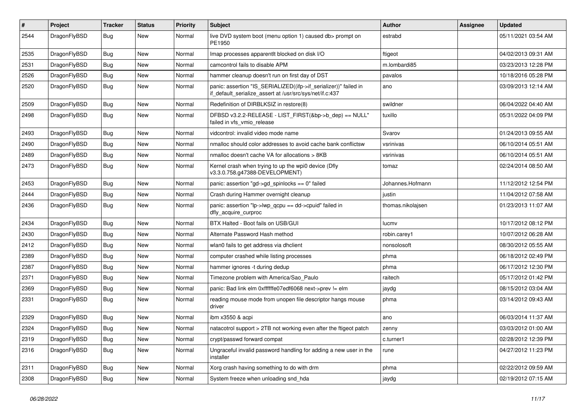| #    | Project      | <b>Tracker</b> | <b>Status</b> | <b>Priority</b> | Subject                                                                                                                      | Author            | <b>Assignee</b> | <b>Updated</b>      |
|------|--------------|----------------|---------------|-----------------|------------------------------------------------------------------------------------------------------------------------------|-------------------|-----------------|---------------------|
| 2544 | DragonFlyBSD | Bug            | New           | Normal          | live DVD system boot (menu option 1) caused db> prompt on<br>PE1950                                                          | estrabd           |                 | 05/11/2021 03:54 AM |
| 2535 | DragonFlyBSD | Bug            | <b>New</b>    | Normal          | Imap processes apparentlt blocked on disk I/O                                                                                | ftigeot           |                 | 04/02/2013 09:31 AM |
| 2531 | DragonFlyBSD | Bug            | <b>New</b>    | Normal          | camcontrol fails to disable APM                                                                                              | m.lombardi85      |                 | 03/23/2013 12:28 PM |
| 2526 | DragonFlyBSD | <b>Bug</b>     | <b>New</b>    | Normal          | hammer cleanup doesn't run on first day of DST                                                                               | pavalos           |                 | 10/18/2016 05:28 PM |
| 2520 | DragonFlyBSD | Bug            | New           | Normal          | panic: assertion "IS_SERIALIZED((ifp->if_serializer))" failed in<br>if_default_serialize_assert at /usr/src/sys/net/if.c:437 | ano               |                 | 03/09/2013 12:14 AM |
| 2509 | DragonFlyBSD | Bug            | New           | Normal          | Redefinition of DIRBLKSIZ in restore(8)                                                                                      | swildner          |                 | 06/04/2022 04:40 AM |
| 2498 | DragonFlyBSD | Bug            | New           | Normal          | DFBSD v3.2.2-RELEASE - LIST_FIRST(&bp->b_dep) == NULL"<br>failed in vfs_vmio_release                                         | tuxillo           |                 | 05/31/2022 04:09 PM |
| 2493 | DragonFlyBSD | Bug            | <b>New</b>    | Normal          | vidcontrol: invalid video mode name                                                                                          | Svarov            |                 | 01/24/2013 09:55 AM |
| 2490 | DragonFlyBSD | Bug            | <b>New</b>    | Normal          | nmalloc should color addresses to avoid cache bank conflictsw                                                                | vsrinivas         |                 | 06/10/2014 05:51 AM |
| 2489 | DragonFlyBSD | Bug            | <b>New</b>    | Normal          | nmalloc doesn't cache VA for allocations > 8KB                                                                               | vsrinivas         |                 | 06/10/2014 05:51 AM |
| 2473 | DragonFlyBSD | Bug            | New           | Normal          | Kernel crash when trying to up the wpi0 device (Dfly<br>v3.3.0.758.g47388-DEVELOPMENT)                                       | tomaz             |                 | 02/24/2014 08:50 AM |
| 2453 | DragonFlyBSD | Bug            | <b>New</b>    | Normal          | panic: assertion "gd->gd_spinlocks == 0" failed                                                                              | Johannes.Hofmann  |                 | 11/12/2012 12:54 PM |
| 2444 | DragonFlyBSD | Bug            | <b>New</b>    | Normal          | Crash during Hammer overnight cleanup                                                                                        | justin            |                 | 11/04/2012 07:58 AM |
| 2436 | DragonFlyBSD | Bug            | New           | Normal          | panic: assertion "lp->lwp_qcpu == dd->cpuid" failed in<br>dfly_acquire_curproc                                               | thomas.nikolajsen |                 | 01/23/2013 11:07 AM |
| 2434 | DragonFlyBSD | Bug            | <b>New</b>    | Normal          | BTX Halted - Boot fails on USB/GUI                                                                                           | lucmv             |                 | 10/17/2012 08:12 PM |
| 2430 | DragonFlyBSD | <b>Bug</b>     | <b>New</b>    | Normal          | Alternate Password Hash method                                                                                               | robin.carey1      |                 | 10/07/2012 06:28 AM |
| 2412 | DragonFlyBSD | <b>Bug</b>     | New           | Normal          | wlan0 fails to get address via dhclient                                                                                      | nonsolosoft       |                 | 08/30/2012 05:55 AM |
| 2389 | DragonFlyBSD | Bug            | <b>New</b>    | Normal          | computer crashed while listing processes                                                                                     | phma              |                 | 06/18/2012 02:49 PM |
| 2387 | DragonFlyBSD | <b>Bug</b>     | New           | Normal          | hammer ignores -t during dedup                                                                                               | phma              |                 | 06/17/2012 12:30 PM |
| 2371 | DragonFlyBSD | Bug            | <b>New</b>    | Normal          | Timezone problem with America/Sao_Paulo                                                                                      | raitech           |                 | 05/17/2012 01:42 PM |
| 2369 | DragonFlyBSD | Bug            | <b>New</b>    | Normal          | panic: Bad link elm 0xffffffe07edf6068 next->prev != elm                                                                     | jaydg             |                 | 08/15/2012 03:04 AM |
| 2331 | DragonFlyBSD | <b>Bug</b>     | New           | Normal          | reading mouse mode from unopen file descriptor hangs mouse<br>driver                                                         | phma              |                 | 03/14/2012 09:43 AM |
| 2329 | DragonFlyBSD | <b>Bug</b>     | <b>New</b>    | Normal          | ibm x3550 & acpi                                                                                                             | ano               |                 | 06/03/2014 11:37 AM |
| 2324 | DragonFlyBSD | i Bug          | New           | Normal          | natacotrol support > 2TB not working even after the ftigeot patch                                                            | zenny             |                 | 03/03/2012 01:00 AM |
| 2319 | DragonFlyBSD | <b>Bug</b>     | New           | Normal          | crypt/passwd forward compat                                                                                                  | c.turner1         |                 | 02/28/2012 12:39 PM |
| 2316 | DragonFlyBSD | <b>Bug</b>     | New           | Normal          | Ungraceful invalid password handling for adding a new user in the<br>installer                                               | rune              |                 | 04/27/2012 11:23 PM |
| 2311 | DragonFlyBSD | <b>Bug</b>     | New           | Normal          | Xorg crash having something to do with drm                                                                                   | phma              |                 | 02/22/2012 09:59 AM |
| 2308 | DragonFlyBSD | Bug            | New           | Normal          | System freeze when unloading snd hda                                                                                         | jaydg             |                 | 02/19/2012 07:15 AM |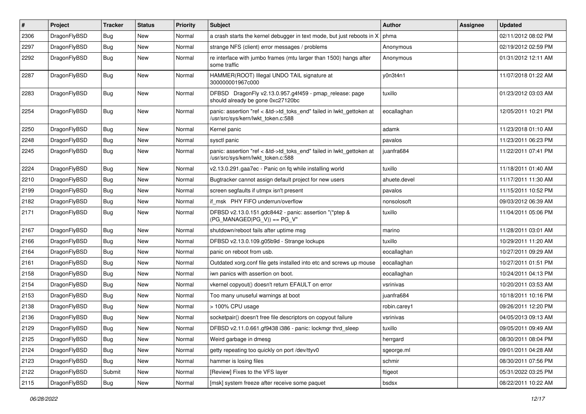| $\pmb{\#}$ | Project      | <b>Tracker</b> | <b>Status</b> | <b>Priority</b> | Subject                                                                                                    | <b>Author</b> | Assignee | <b>Updated</b>      |
|------------|--------------|----------------|---------------|-----------------|------------------------------------------------------------------------------------------------------------|---------------|----------|---------------------|
| 2306       | DragonFlyBSD | <b>Bug</b>     | New           | Normal          | a crash starts the kernel debugger in text mode, but just reboots in $X \mid p$ hma                        |               |          | 02/11/2012 08:02 PM |
| 2297       | DragonFlyBSD | Bug            | <b>New</b>    | Normal          | strange NFS (client) error messages / problems                                                             | Anonymous     |          | 02/19/2012 02:59 PM |
| 2292       | DragonFlyBSD | Bug            | New           | Normal          | re interface with jumbo frames (mtu larger than 1500) hangs after<br>some traffic                          | Anonymous     |          | 01/31/2012 12:11 AM |
| 2287       | DragonFlyBSD | Bug            | New           | Normal          | HAMMER(ROOT) Illegal UNDO TAIL signature at<br>300000001967c000                                            | y0n3t4n1      |          | 11/07/2018 01:22 AM |
| 2283       | DragonFlyBSD | Bug            | New           | Normal          | DFBSD DragonFly v2.13.0.957.g4f459 - pmap_release: page<br>should already be gone 0xc27120bc               | tuxillo       |          | 01/23/2012 03:03 AM |
| 2254       | DragonFlyBSD | Bug            | New           | Normal          | panic: assertion "ref < &td->td_toks_end" failed in lwkt_gettoken at<br>/usr/src/sys/kern/lwkt_token.c:588 | eocallaghan   |          | 12/05/2011 10:21 PM |
| 2250       | DragonFlyBSD | <b>Bug</b>     | <b>New</b>    | Normal          | Kernel panic                                                                                               | adamk         |          | 11/23/2018 01:10 AM |
| 2248       | DragonFlyBSD | Bug            | <b>New</b>    | Normal          | sysctl panic                                                                                               | pavalos       |          | 11/23/2011 06:23 PM |
| 2245       | DragonFlyBSD | Bug            | <b>New</b>    | Normal          | panic: assertion "ref < &td->td_toks_end" failed in lwkt_gettoken at<br>/usr/src/sys/kern/lwkt_token.c:588 | juanfra684    |          | 11/22/2011 07:41 PM |
| 2224       | DragonFlyBSD | Bug            | New           | Normal          | v2.13.0.291.gaa7ec - Panic on fq while installing world                                                    | tuxillo       |          | 11/18/2011 01:40 AM |
| 2210       | DragonFlyBSD | Bug            | <b>New</b>    | Normal          | Bugtracker cannot assign default project for new users                                                     | ahuete.devel  |          | 11/17/2011 11:30 AM |
| 2199       | DragonFlyBSD | Bug            | <b>New</b>    | Normal          | screen segfaults if utmpx isn't present                                                                    | pavalos       |          | 11/15/2011 10:52 PM |
| 2182       | DragonFlyBSD | Bug            | New           | Normal          | if msk PHY FIFO underrun/overflow                                                                          | nonsolosoft   |          | 09/03/2012 06:39 AM |
| 2171       | DragonFlyBSD | Bug            | <b>New</b>    | Normal          | DFBSD v2.13.0.151.gdc8442 - panic: assertion "(*ptep &<br>$(PG_MANAGED PG_V)) == PG_V"$                    | tuxillo       |          | 11/04/2011 05:06 PM |
| 2167       | DragonFlyBSD | Bug            | <b>New</b>    | Normal          | shutdown/reboot fails after uptime msg                                                                     | marino        |          | 11/28/2011 03:01 AM |
| 2166       | DragonFlyBSD | Bug            | New           | Normal          | DFBSD v2.13.0.109.g05b9d - Strange lockups                                                                 | tuxillo       |          | 10/29/2011 11:20 AM |
| 2164       | DragonFlyBSD | Bug            | New           | Normal          | panic on reboot from usb.                                                                                  | eocallaghan   |          | 10/27/2011 09:29 AM |
| 2161       | DragonFlyBSD | Bug            | New           | Normal          | Outdated xorg.conf file gets installed into etc and screws up mouse                                        | eocallaghan   |          | 10/27/2011 01:51 PM |
| 2158       | DragonFlyBSD | Bug            | <b>New</b>    | Normal          | iwn panics with assertion on boot.                                                                         | eocallaghan   |          | 10/24/2011 04:13 PM |
| 2154       | DragonFlyBSD | Bug            | <b>New</b>    | Normal          | vkernel copyout() doesn't return EFAULT on error                                                           | vsrinivas     |          | 10/20/2011 03:53 AM |
| 2153       | DragonFlyBSD | Bug            | <b>New</b>    | Normal          | Too many unuseful warnings at boot                                                                         | juanfra684    |          | 10/18/2011 10:16 PM |
| 2138       | DragonFlyBSD | Bug            | New           | Normal          | > 100% CPU usage                                                                                           | robin.carey1  |          | 09/26/2011 12:20 PM |
| 2136       | DragonFlyBSD | Bug            | New           | Normal          | socketpair() doesn't free file descriptors on copyout failure                                              | vsrinivas     |          | 04/05/2013 09:13 AM |
| 2129       | DragonFlyBSD | Bug            | New           | Normal          | DFBSD v2.11.0.661.gf9438 i386 - panic: lockmgr thrd_sleep                                                  | tuxillo       |          | 09/05/2011 09:49 AM |
| 2125       | DragonFlyBSD | Bug            | New           | Normal          | Weird garbage in dmesg                                                                                     | herrgard      |          | 08/30/2011 08:04 PM |
| 2124       | DragonFlyBSD | <b>Bug</b>     | New           | Normal          | getty repeating too quickly on port /dev/ttyv0                                                             | sgeorge.ml    |          | 09/01/2011 04:28 AM |
| 2123       | DragonFlyBSD | <b>Bug</b>     | New           | Normal          | hammer is losing files                                                                                     | schmir        |          | 08/30/2011 07:56 PM |
| 2122       | DragonFlyBSD | Submit         | New           | Normal          | [Review] Fixes to the VFS layer                                                                            | ftigeot       |          | 05/31/2022 03:25 PM |
| 2115       | DragonFlyBSD | Bug            | New           | Normal          | [msk] system freeze after receive some paquet                                                              | bsdsx         |          | 08/22/2011 10:22 AM |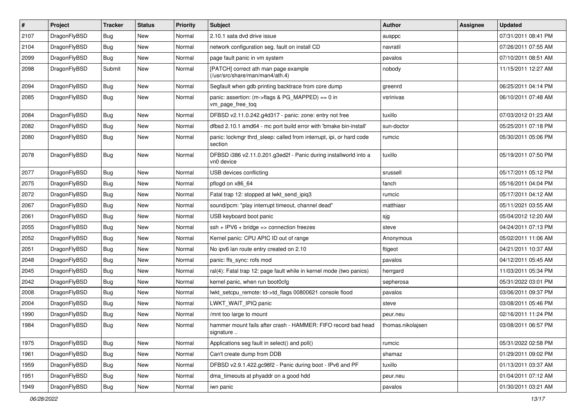| $\vert$ # | Project      | <b>Tracker</b> | <b>Status</b> | <b>Priority</b> | <b>Subject</b>                                                                 | Author            | Assignee | <b>Updated</b>      |
|-----------|--------------|----------------|---------------|-----------------|--------------------------------------------------------------------------------|-------------------|----------|---------------------|
| 2107      | DragonFlyBSD | <b>Bug</b>     | New           | Normal          | 2.10.1 sata dvd drive issue                                                    | ausppc            |          | 07/31/2011 08:41 PM |
| 2104      | DragonFlyBSD | Bug            | <b>New</b>    | Normal          | network configuration seg. fault on install CD                                 | navratil          |          | 07/26/2011 07:55 AM |
| 2099      | DragonFlyBSD | Bug            | New           | Normal          | page fault panic in vm system                                                  | pavalos           |          | 07/10/2011 08:51 AM |
| 2098      | DragonFlyBSD | Submit         | New           | Normal          | [PATCH] correct ath man page example<br>(/usr/src/share/man/man4/ath.4)        | nobody            |          | 11/15/2011 12:27 AM |
| 2094      | DragonFlyBSD | <b>Bug</b>     | New           | Normal          | Segfault when gdb printing backtrace from core dump                            | greenrd           |          | 06/25/2011 04:14 PM |
| 2085      | DragonFlyBSD | Bug            | <b>New</b>    | Normal          | panic: assertion: (m->flags & PG_MAPPED) == 0 in<br>vm page free tog           | vsrinivas         |          | 06/10/2011 07:48 AM |
| 2084      | DragonFlyBSD | Bug            | <b>New</b>    | Normal          | DFBSD v2.11.0.242.g4d317 - panic: zone: entry not free                         | tuxillo           |          | 07/03/2012 01:23 AM |
| 2082      | DragonFlyBSD | <b>Bug</b>     | <b>New</b>    | Normal          | dfbsd 2.10.1 amd64 - mc port build error with 'bmake bin-install'              | sun-doctor        |          | 05/25/2011 07:18 PM |
| 2080      | DragonFlyBSD | Bug            | New           | Normal          | panic: lockmgr thrd_sleep: called from interrupt, ipi, or hard code<br>section | rumcic            |          | 05/30/2011 05:06 PM |
| 2078      | DragonFlyBSD | Bug            | <b>New</b>    | Normal          | DFBSD i386 v2.11.0.201.g3ed2f - Panic during installworld into a<br>vn0 device | tuxillo           |          | 05/19/2011 07:50 PM |
| 2077      | DragonFlyBSD | Bug            | New           | Normal          | USB devices conflicting                                                        | srussell          |          | 05/17/2011 05:12 PM |
| 2075      | DragonFlyBSD | <b>Bug</b>     | <b>New</b>    | Normal          | pflogd on x86 64                                                               | fanch             |          | 05/16/2011 04:04 PM |
| 2072      | DragonFlyBSD | Bug            | <b>New</b>    | Normal          | Fatal trap 12: stopped at lwkt_send_ipiq3                                      | rumcic            |          | 05/17/2011 04:12 AM |
| 2067      | DragonFlyBSD | Bug            | <b>New</b>    | Normal          | sound/pcm: "play interrupt timeout, channel dead"                              | matthiasr         |          | 05/11/2021 03:55 AM |
| 2061      | DragonFlyBSD | <b>Bug</b>     | New           | Normal          | USB keyboard boot panic                                                        | sjg               |          | 05/04/2012 12:20 AM |
| 2055      | DragonFlyBSD | Bug            | <b>New</b>    | Normal          | $ssh + IPV6 + bridge \Rightarrow$ connection freezes                           | steve             |          | 04/24/2011 07:13 PM |
| 2052      | DragonFlyBSD | Bug            | <b>New</b>    | Normal          | Kernel panic: CPU APIC ID out of range                                         | Anonymous         |          | 05/02/2011 11:06 AM |
| 2051      | DragonFlyBSD | <b>Bug</b>     | New           | Normal          | No ipv6 lan route entry created on 2.10                                        | ftigeot           |          | 04/21/2011 10:37 AM |
| 2048      | DragonFlyBSD | Bug            | <b>New</b>    | Normal          | panic: ffs_sync: rofs mod                                                      | pavalos           |          | 04/12/2011 05:45 AM |
| 2045      | DragonFlyBSD | <b>Bug</b>     | New           | Normal          | ral(4): Fatal trap 12: page fault while in kernel mode (two panics)            | herrgard          |          | 11/03/2011 05:34 PM |
| 2042      | DragonFlyBSD | <b>Bug</b>     | <b>New</b>    | Normal          | kernel panic, when run boot0cfg                                                | sepherosa         |          | 05/31/2022 03:01 PM |
| 2008      | DragonFlyBSD | Bug            | <b>New</b>    | Normal          | lwkt_setcpu_remote: td->td_flags 00800621 console flood                        | pavalos           |          | 03/06/2011 09:37 PM |
| 2004      | DragonFlyBSD | <b>Bug</b>     | New           | Normal          | LWKT_WAIT_IPIQ panic                                                           | steve             |          | 03/08/2011 05:46 PM |
| 1990      | DragonFlyBSD | Bug            | New           | Normal          | /mnt too large to mount                                                        | peur.neu          |          | 02/16/2011 11:24 PM |
| 1984      | DragonFlyBSD | <b>Bug</b>     | New           | Normal          | hammer mount fails after crash - HAMMER: FIFO record bad head<br>signature     | thomas.nikolaisen |          | 03/08/2011 06:57 PM |
| 1975      | DragonFlyBSD | <b>Bug</b>     | New           | Normal          | Applications seg fault in select() and poll()                                  | rumcic            |          | 05/31/2022 02:58 PM |
| 1961      | DragonFlyBSD | <b>Bug</b>     | New           | Normal          | Can't create dump from DDB                                                     | shamaz            |          | 01/29/2011 09:02 PM |
| 1959      | DragonFlyBSD | <b>Bug</b>     | New           | Normal          | DFBSD v2.9.1.422.gc98f2 - Panic during boot - IPv6 and PF                      | tuxillo           |          | 01/13/2011 03:37 AM |
| 1951      | DragonFlyBSD | <b>Bug</b>     | New           | Normal          | dma_timeouts at phyaddr on a good hdd                                          | peur.neu          |          | 01/04/2011 07:12 AM |
| 1949      | DragonFlyBSD | Bug            | New           | Normal          | iwn panic                                                                      | pavalos           |          | 01/30/2011 03:21 AM |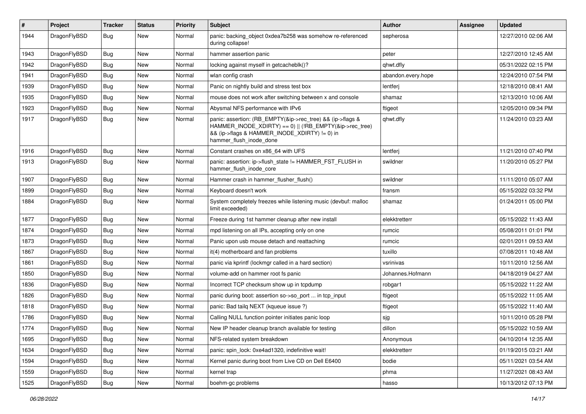| #    | Project      | <b>Tracker</b> | <b>Status</b> | <b>Priority</b> | Subject                                                                                                                                                                                           | Author             | Assignee | <b>Updated</b>      |
|------|--------------|----------------|---------------|-----------------|---------------------------------------------------------------------------------------------------------------------------------------------------------------------------------------------------|--------------------|----------|---------------------|
| 1944 | DragonFlyBSD | Bug            | <b>New</b>    | Normal          | panic: backing object 0xdea7b258 was somehow re-referenced<br>during collapse!                                                                                                                    | sepherosa          |          | 12/27/2010 02:06 AM |
| 1943 | DragonFlyBSD | <b>Bug</b>     | <b>New</b>    | Normal          | hammer assertion panic                                                                                                                                                                            | peter              |          | 12/27/2010 12:45 AM |
| 1942 | DragonFlyBSD | Bug            | New           | Normal          | locking against myself in getcacheblk()?                                                                                                                                                          | qhwt.dfly          |          | 05/31/2022 02:15 PM |
| 1941 | DragonFlyBSD | <b>Bug</b>     | New           | Normal          | wlan config crash                                                                                                                                                                                 | abandon.every.hope |          | 12/24/2010 07:54 PM |
| 1939 | DragonFlyBSD | <b>Bug</b>     | New           | Normal          | Panic on nightly build and stress test box                                                                                                                                                        | lentferj           |          | 12/18/2010 08:41 AM |
| 1935 | DragonFlyBSD | <b>Bug</b>     | <b>New</b>    | Normal          | mouse does not work after switching between x and console                                                                                                                                         | shamaz             |          | 12/13/2010 10:06 AM |
| 1923 | DragonFlyBSD | Bug            | New           | Normal          | Abysmal NFS performance with IPv6                                                                                                                                                                 | ftigeot            |          | 12/05/2010 09:34 PM |
| 1917 | DragonFlyBSD | Bug            | New           | Normal          | panic: assertion: (RB_EMPTY(&ip->rec_tree) && (ip->flags &<br>HAMMER_INODE_XDIRTY) == 0)    (!RB_EMPTY(&ip->rec_tree)<br>&& (ip->flags & HAMMER_INODE_XDIRTY) != 0) in<br>hammer_flush_inode_done | qhwt.dfly          |          | 11/24/2010 03:23 AM |
| 1916 | DragonFlyBSD | <b>Bug</b>     | <b>New</b>    | Normal          | Constant crashes on x86_64 with UFS                                                                                                                                                               | lentferj           |          | 11/21/2010 07:40 PM |
| 1913 | DragonFlyBSD | Bug            | New           | Normal          | panic: assertion: ip->flush_state != HAMMER_FST_FLUSH in<br>hammer_flush_inode_core                                                                                                               | swildner           |          | 11/20/2010 05:27 PM |
| 1907 | DragonFlyBSD | <b>Bug</b>     | <b>New</b>    | Normal          | Hammer crash in hammer flusher flush()                                                                                                                                                            | swildner           |          | 11/11/2010 05:07 AM |
| 1899 | DragonFlyBSD | <b>Bug</b>     | New           | Normal          | Keyboard doesn't work                                                                                                                                                                             | fransm             |          | 05/15/2022 03:32 PM |
| 1884 | DragonFlyBSD | <b>Bug</b>     | New           | Normal          | System completely freezes while listening music (devbuf: malloc<br>limit exceeded)                                                                                                                | shamaz             |          | 01/24/2011 05:00 PM |
| 1877 | DragonFlyBSD | Bug            | <b>New</b>    | Normal          | Freeze during 1st hammer cleanup after new install                                                                                                                                                | elekktretterr      |          | 05/15/2022 11:43 AM |
| 1874 | DragonFlyBSD | <b>Bug</b>     | <b>New</b>    | Normal          | mpd listening on all IPs, accepting only on one                                                                                                                                                   | rumcic             |          | 05/08/2011 01:01 PM |
| 1873 | DragonFlyBSD | Bug            | New           | Normal          | Panic upon usb mouse detach and reattaching                                                                                                                                                       | rumcic             |          | 02/01/2011 09:53 AM |
| 1867 | DragonFlyBSD | Bug            | <b>New</b>    | Normal          | it(4) motherboard and fan problems                                                                                                                                                                | tuxillo            |          | 07/08/2011 10:48 AM |
| 1861 | DragonFlyBSD | <b>Bug</b>     | New           | Normal          | panic via kprintf (lockmgr called in a hard section)                                                                                                                                              | vsrinivas          |          | 10/11/2010 12:56 AM |
| 1850 | DragonFlyBSD | Bug            | <b>New</b>    | Normal          | volume-add on hammer root fs panic                                                                                                                                                                | Johannes.Hofmann   |          | 04/18/2019 04:27 AM |
| 1836 | DragonFlyBSD | <b>Bug</b>     | New           | Normal          | Incorrect TCP checksum show up in tcpdump                                                                                                                                                         | robgar1            |          | 05/15/2022 11:22 AM |
| 1826 | DragonFlyBSD | <b>Bug</b>     | New           | Normal          | panic during boot: assertion so->so_port  in tcp_input                                                                                                                                            | ftigeot            |          | 05/15/2022 11:05 AM |
| 1818 | DragonFlyBSD | Bug            | New           | Normal          | panic: Bad tailg NEXT (kgueue issue ?)                                                                                                                                                            | ftigeot            |          | 05/15/2022 11:40 AM |
| 1786 | DragonFlyBSD | Bug            | New           | Normal          | Calling NULL function pointer initiates panic loop                                                                                                                                                | sjg                |          | 10/11/2010 05:28 PM |
| 1774 | DragonFlyBSD | <b>Bug</b>     | <b>New</b>    | Normal          | New IP header cleanup branch available for testing                                                                                                                                                | dillon             |          | 05/15/2022 10:59 AM |
| 1695 | DragonFlyBSD | Bug            | <b>New</b>    | Normal          | NFS-related system breakdown                                                                                                                                                                      | Anonymous          |          | 04/10/2014 12:35 AM |
| 1634 | DragonFlyBSD | <b>Bug</b>     | New           | Normal          | panic: spin_lock: 0xe4ad1320, indefinitive wait!                                                                                                                                                  | elekktretterr      |          | 01/19/2015 03:21 AM |
| 1594 | DragonFlyBSD | <b>Bug</b>     | New           | Normal          | Kernel panic during boot from Live CD on Dell E6400                                                                                                                                               | bodie              |          | 05/11/2021 03:54 AM |
| 1559 | DragonFlyBSD | Bug            | New           | Normal          | kernel trap                                                                                                                                                                                       | phma               |          | 11/27/2021 08:43 AM |
| 1525 | DragonFlyBSD | Bug            | New           | Normal          | boehm-gc problems                                                                                                                                                                                 | hasso              |          | 10/13/2012 07:13 PM |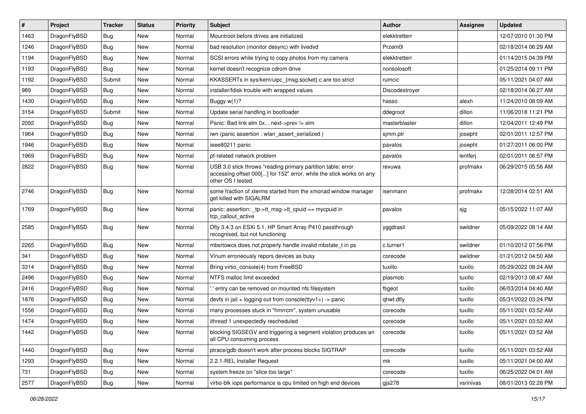| #    | Project      | <b>Tracker</b> | <b>Status</b> | <b>Priority</b> | Subject                                                                                                                                                  | Author         | <b>Assignee</b> | <b>Updated</b>      |
|------|--------------|----------------|---------------|-----------------|----------------------------------------------------------------------------------------------------------------------------------------------------------|----------------|-----------------|---------------------|
| 1463 | DragonFlyBSD | <b>Bug</b>     | <b>New</b>    | Normal          | Mountroot before drives are initialized                                                                                                                  | elekktretterr  |                 | 12/07/2010 01:30 PM |
| 1246 | DragonFlyBSD | Bug            | <b>New</b>    | Normal          | bad resolution (monitor desync) with livedvd                                                                                                             | Przem0l        |                 | 02/18/2014 06:29 AM |
| 1194 | DragonFlyBSD | <b>Bug</b>     | New           | Normal          | SCSI errors while trying to copy photos from my camera                                                                                                   | elekktretterr  |                 | 01/14/2015 04:39 PM |
| 1193 | DragonFlyBSD | <b>Bug</b>     | New           | Normal          | kernel doesn't recognize cdrom drive                                                                                                                     | nonsolosoft    |                 | 01/25/2014 09:11 PM |
| 1192 | DragonFlyBSD | Submit         | <b>New</b>    | Normal          | KKASSERTs in sys/kern/uipc {msg,socket}.c are too strict                                                                                                 | rumcic         |                 | 05/11/2021 04:07 AM |
| 989  | DragonFlyBSD | <b>Bug</b>     | New           | Normal          | installer/fdisk trouble with wrapped values                                                                                                              | Discodestroyer |                 | 02/18/2014 06:27 AM |
| 1430 | DragonFlyBSD | Bug            | New           | Normal          | Buggy $w(1)$ ?                                                                                                                                           | hasso          | alexh           | 11/24/2010 08:09 AM |
| 3154 | DragonFlyBSD | Submit         | New           | Normal          | Update serial handling in bootloader                                                                                                                     | ddegroot       | dillon          | 11/06/2018 11:21 PM |
| 2092 | DragonFlyBSD | Bug            | New           | Normal          | Panic: Bad link elm 0x next->prev != elm                                                                                                                 | masterblaster  | dillon          | 12/04/2011 12:49 PM |
| 1964 | DragonFlyBSD | <b>Bug</b>     | New           | Normal          | iwn (panic assertion : wlan assert serialized)                                                                                                           | sjmm.ptr       | josepht         | 02/01/2011 12:57 PM |
| 1946 | DragonFlyBSD | <b>Bug</b>     | New           | Normal          | ieee80211 panic                                                                                                                                          | pavalos        | josepht         | 01/27/2011 06:00 PM |
| 1969 | DragonFlyBSD | <b>Bug</b>     | New           | Normal          | pf-related network problem                                                                                                                               | pavalos        | lentferj        | 02/01/2011 06:57 PM |
| 2822 | DragonFlyBSD | <b>Bug</b>     | <b>New</b>    | Normal          | USB 3.0 stick throws "reading primary partition table: error<br>accessing offset 000[] for 152" error, while the stick works on any<br>other OS I tested | revuwa         | profmakx        | 06/29/2015 05:56 AM |
| 2746 | DragonFlyBSD | Bug            | <b>New</b>    | Normal          | some fraction of xterms started from the xmonad window manager<br>get killed with SIGALRM                                                                | isenmann       | profmakx        | 12/28/2014 02:51 AM |
| 1769 | DragonFlyBSD | Bug            | New           | Normal          | panic: assertion: _tp->tt_msg->tt_cpuid == mycpuid in<br>tcp callout active                                                                              | pavalos        | sjg             | 05/15/2022 11:07 AM |
| 2585 | DragonFlyBSD | Bug            | New           | Normal          | Dfly 3.4.3 on ESXi 5.1, HP Smart Array P410 passthrough<br>recognised, but not functioning                                                               | yggdrasil      | swildner        | 05/09/2022 08:14 AM |
| 2265 | DragonFlyBSD | Bug            | New           | Normal          | mbsrtowcs does not properly handle invalid mbstate t in ps                                                                                               | c.turner1      | swildner        | 01/10/2012 07:56 PM |
| 341  | DragonFlyBSD | Bug            | New           | Normal          | Vinum erroneously repors devices as busy                                                                                                                 | corecode       | swildner        | 01/21/2012 04:50 AM |
| 3314 | DragonFlyBSD | Bug            | New           | Normal          | Bring virtio console(4) from FreeBSD                                                                                                                     | tuxillo        | tuxillo         | 05/29/2022 08:24 AM |
| 2496 | DragonFlyBSD | Bug            | New           | Normal          | NTFS malloc limit exceeded                                                                                                                               | plasmob        | tuxillo         | 02/19/2013 08:47 AM |
| 2416 | DragonFlyBSD | Bug            | New           | Normal          | ".' entry can be removed on mounted nfs filesystem                                                                                                       | ftigeot        | tuxillo         | 06/03/2014 04:40 AM |
| 1876 | DragonFlyBSD | Bug            | New           | Normal          | devfs in jail + logging out from console(ttyv1+) -> panic                                                                                                | qhwt.dfly      | tuxillo         | 05/31/2022 03:24 PM |
| 1556 | DragonFlyBSD | Bug            | New           | Normal          | many processes stuck in "hmrrcm", system unusable                                                                                                        | corecode       | tuxillo         | 05/11/2021 03:52 AM |
| 1474 | DragonFlyBSD | <b>Bug</b>     | <b>New</b>    | Normal          | ithread 1 unexpectedly rescheduled                                                                                                                       | corecode       | tuxillo         | 05/11/2021 03:52 AM |
| 1442 | DragonFlyBSD | <b>Bug</b>     | <b>New</b>    | Normal          | blocking SIGSEGV and triggering a segment violation produces an<br>all CPU consuming process                                                             | corecode       | tuxillo         | 05/11/2021 03:52 AM |
| 1440 | DragonFlyBSD | <b>Bug</b>     | New           | Normal          | ptrace/gdb doesn't work after process blocks SIGTRAP                                                                                                     | corecode       | tuxillo         | 05/11/2021 03:52 AM |
| 1293 | DragonFlyBSD | <b>Bug</b>     | New           | Normal          | 2.2.1-REL Installer Request                                                                                                                              | mk             | tuxillo         | 05/11/2021 04:00 AM |
| 731  | DragonFlyBSD | Bug            | New           | Normal          | system freeze on "slice too large"                                                                                                                       | corecode       | tuxillo         | 06/25/2022 04:01 AM |
| 2577 | DragonFlyBSD | <b>Bug</b>     | New           | Normal          | virtio-blk iops performance is cpu limited on high end devices                                                                                           | gjs278         | vsrinivas       | 08/01/2013 02:28 PM |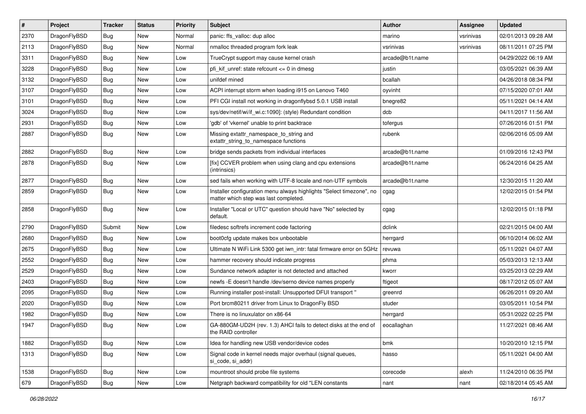| $\sharp$ | Project      | <b>Tracker</b> | <b>Status</b> | <b>Priority</b> | Subject                                                                                                       | Author          | Assignee  | <b>Updated</b>      |
|----------|--------------|----------------|---------------|-----------------|---------------------------------------------------------------------------------------------------------------|-----------------|-----------|---------------------|
| 2370     | DragonFlyBSD | Bug            | New           | Normal          | panic: ffs_valloc: dup alloc                                                                                  | marino          | vsrinivas | 02/01/2013 09:28 AM |
| 2113     | DragonFlyBSD | Bug            | <b>New</b>    | Normal          | nmalloc threaded program fork leak                                                                            | vsrinivas       | vsrinivas | 08/11/2011 07:25 PM |
| 3311     | DragonFlyBSD | Bug            | New           | Low             | TrueCrypt support may cause kernel crash                                                                      | arcade@b1t.name |           | 04/29/2022 06:19 AM |
| 3228     | DragonFlyBSD | Bug            | New           | Low             | pfi kif unref: state refcount $\leq$ 0 in dmesg                                                               | justin          |           | 03/05/2021 06:39 AM |
| 3132     | DragonFlyBSD | Bug            | <b>New</b>    | Low             | unifdef mined                                                                                                 | bcallah         |           | 04/26/2018 08:34 PM |
| 3107     | DragonFlyBSD | <b>Bug</b>     | <b>New</b>    | Low             | ACPI interrupt storm when loading i915 on Lenovo T460                                                         | oyvinht         |           | 07/15/2020 07:01 AM |
| 3101     | DragonFlyBSD | <b>Bug</b>     | New           | Low             | PFI CGI install not working in dragonflybsd 5.0.1 USB install                                                 | bnegre82        |           | 05/11/2021 04:14 AM |
| 3024     | DragonFlyBSD | <b>Bug</b>     | New           | Low             | sys/dev/netif/wi/if_wi.c:1090]: (style) Redundant condition                                                   | dcb             |           | 04/11/2017 11:56 AM |
| 2931     | DragonFlyBSD | <b>Bug</b>     | New           | Low             | 'gdb' of 'vkernel' unable to print backtrace                                                                  | tofergus        |           | 07/26/2016 01:51 PM |
| 2887     | DragonFlyBSD | Bug            | New           | Low             | Missing extattr_namespace_to_string and<br>extattr_string_to_namespace functions                              | rubenk          |           | 02/06/2016 05:09 AM |
| 2882     | DragonFlyBSD | Bug            | <b>New</b>    | Low             | bridge sends packets from individual interfaces                                                               | arcade@b1t.name |           | 01/09/2016 12:43 PM |
| 2878     | DragonFlyBSD | Bug            | <b>New</b>    | Low             | [fix] CCVER problem when using clang and cpu extensions<br>(intrinsics)                                       | arcade@b1t.name |           | 06/24/2016 04:25 AM |
| 2877     | DragonFlyBSD | Bug            | New           | Low             | sed fails when working with UTF-8 locale and non-UTF symbols                                                  | arcade@b1t.name |           | 12/30/2015 11:20 AM |
| 2859     | DragonFlyBSD | <b>Bug</b>     | New           | Low             | Installer configuration menu always highlights "Select timezone", no<br>matter which step was last completed. | cgag            |           | 12/02/2015 01:54 PM |
| 2858     | DragonFlyBSD | <b>Bug</b>     | New           | Low             | Installer "Local or UTC" question should have "No" selected by<br>default.                                    | cgag            |           | 12/02/2015 01:18 PM |
| 2790     | DragonFlyBSD | Submit         | New           | Low             | filedesc softrefs increment code factoring                                                                    | dclink          |           | 02/21/2015 04:00 AM |
| 2680     | DragonFlyBSD | <b>Bug</b>     | <b>New</b>    | Low             | boot0cfg update makes box unbootable                                                                          | herrgard        |           | 06/10/2014 06:02 AM |
| 2675     | DragonFlyBSD | <b>Bug</b>     | <b>New</b>    | Low             | Ultimate N WiFi Link 5300 get iwn_intr: fatal firmware error on 5GHz                                          | revuwa          |           | 05/11/2021 04:07 AM |
| 2552     | DragonFlyBSD | <b>Bug</b>     | <b>New</b>    | Low             | hammer recovery should indicate progress                                                                      | phma            |           | 05/03/2013 12:13 AM |
| 2529     | DragonFlyBSD | Bug            | <b>New</b>    | Low             | Sundance network adapter is not detected and attached                                                         | kworr           |           | 03/25/2013 02:29 AM |
| 2403     | DragonFlyBSD | Bug            | New           | Low             | newfs - E doesn't handle / dev/serno device names properly                                                    | ftigeot         |           | 08/17/2012 05:07 AM |
| 2095     | DragonFlyBSD | Bug            | <b>New</b>    | Low             | Running installer post-install: Unsupported DFUI transport "                                                  | greenrd         |           | 06/26/2011 09:20 AM |
| 2020     | DragonFlyBSD | Bug            | New           | Low             | Port brcm80211 driver from Linux to DragonFly BSD                                                             | studer          |           | 03/05/2011 10:54 PM |
| 1982     | DragonFlyBSD | Bug            | <b>New</b>    | Low             | There is no linuxulator on x86-64                                                                             | herrgard        |           | 05/31/2022 02:25 PM |
| 1947     | DragonFlyBSD | Bug            | <b>New</b>    | Low             | GA-880GM-UD2H (rev. 1.3) AHCI fails to detect disks at the end of<br>the HAID controller                      | eocallaghan     |           | 11/27/2021 08:46 AM |
| 1882     | DragonFlyBSD | <b>Bug</b>     | New           | Low             | Idea for handling new USB vendor/device codes                                                                 | bmk             |           | 10/20/2010 12:15 PM |
| 1313     | DragonFlyBSD | <b>Bug</b>     | New           | Low             | Signal code in kernel needs major overhaul (signal queues,<br>si_code, si_addr)                               | hasso           |           | 05/11/2021 04:00 AM |
| 1538     | DragonFlyBSD | <b>Bug</b>     | New           | Low             | mountroot should probe file systems                                                                           | corecode        | alexh     | 11/24/2010 06:35 PM |
| 679      | DragonFlyBSD | <b>Bug</b>     | New           | Low             | Netgraph backward compatibility for old *LEN constants                                                        | nant            | nant      | 02/18/2014 05:45 AM |